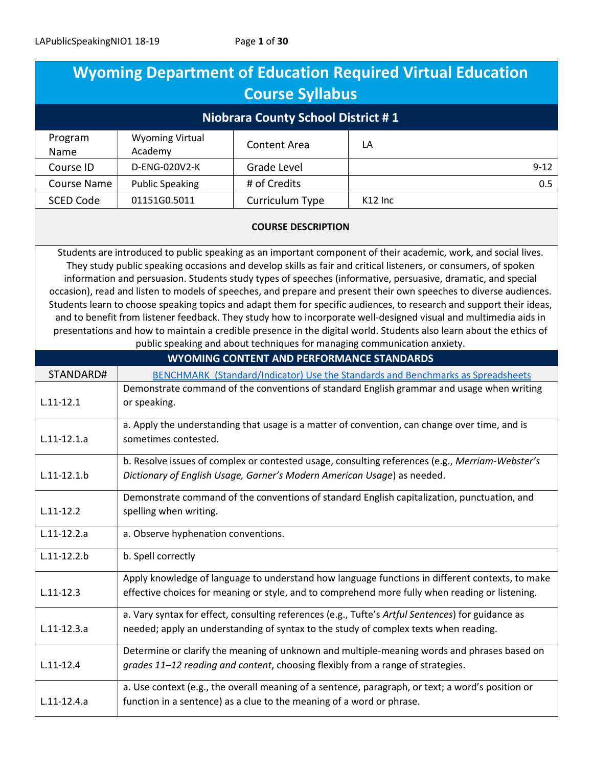| <b>Wyoming Department of Education Required Virtual Education</b>                                                                                                                                                                                                                                                                                                                                                                                                                                                                                                                                                                                                                                                                                                                                                                                                                                                       |                                                                                                                                                                                                    |                                                  |                     |
|-------------------------------------------------------------------------------------------------------------------------------------------------------------------------------------------------------------------------------------------------------------------------------------------------------------------------------------------------------------------------------------------------------------------------------------------------------------------------------------------------------------------------------------------------------------------------------------------------------------------------------------------------------------------------------------------------------------------------------------------------------------------------------------------------------------------------------------------------------------------------------------------------------------------------|----------------------------------------------------------------------------------------------------------------------------------------------------------------------------------------------------|--------------------------------------------------|---------------------|
| <b>Course Syllabus</b>                                                                                                                                                                                                                                                                                                                                                                                                                                                                                                                                                                                                                                                                                                                                                                                                                                                                                                  |                                                                                                                                                                                                    |                                                  |                     |
| <b>Niobrara County School District #1</b>                                                                                                                                                                                                                                                                                                                                                                                                                                                                                                                                                                                                                                                                                                                                                                                                                                                                               |                                                                                                                                                                                                    |                                                  |                     |
| Program<br>Name                                                                                                                                                                                                                                                                                                                                                                                                                                                                                                                                                                                                                                                                                                                                                                                                                                                                                                         | <b>Wyoming Virtual</b><br>Academy                                                                                                                                                                  | <b>Content Area</b>                              | LA                  |
| Course ID                                                                                                                                                                                                                                                                                                                                                                                                                                                                                                                                                                                                                                                                                                                                                                                                                                                                                                               | D-ENG-020V2-K                                                                                                                                                                                      | Grade Level                                      | $9 - 12$            |
| <b>Course Name</b>                                                                                                                                                                                                                                                                                                                                                                                                                                                                                                                                                                                                                                                                                                                                                                                                                                                                                                      | <b>Public Speaking</b>                                                                                                                                                                             | # of Credits                                     | 0.5                 |
| <b>SCED Code</b>                                                                                                                                                                                                                                                                                                                                                                                                                                                                                                                                                                                                                                                                                                                                                                                                                                                                                                        | 01151G0.5011                                                                                                                                                                                       | Curriculum Type                                  | K <sub>12</sub> Inc |
|                                                                                                                                                                                                                                                                                                                                                                                                                                                                                                                                                                                                                                                                                                                                                                                                                                                                                                                         |                                                                                                                                                                                                    | <b>COURSE DESCRIPTION</b>                        |                     |
| Students are introduced to public speaking as an important component of their academic, work, and social lives.<br>They study public speaking occasions and develop skills as fair and critical listeners, or consumers, of spoken<br>information and persuasion. Students study types of speeches (informative, persuasive, dramatic, and special<br>occasion), read and listen to models of speeches, and prepare and present their own speeches to diverse audiences.<br>Students learn to choose speaking topics and adapt them for specific audiences, to research and support their ideas,<br>and to benefit from listener feedback. They study how to incorporate well-designed visual and multimedia aids in<br>presentations and how to maintain a credible presence in the digital world. Students also learn about the ethics of<br>public speaking and about techniques for managing communication anxiety. |                                                                                                                                                                                                    |                                                  |                     |
|                                                                                                                                                                                                                                                                                                                                                                                                                                                                                                                                                                                                                                                                                                                                                                                                                                                                                                                         |                                                                                                                                                                                                    | <b>WYOMING CONTENT AND PERFORMANCE STANDARDS</b> |                     |
| STANDARD#                                                                                                                                                                                                                                                                                                                                                                                                                                                                                                                                                                                                                                                                                                                                                                                                                                                                                                               | BENCHMARK (Standard/Indicator) Use the Standards and Benchmarks as Spreadsheets                                                                                                                    |                                                  |                     |
| $L.11 - 12.1$                                                                                                                                                                                                                                                                                                                                                                                                                                                                                                                                                                                                                                                                                                                                                                                                                                                                                                           | Demonstrate command of the conventions of standard English grammar and usage when writing<br>or speaking.                                                                                          |                                                  |                     |
| $L.11 - 12.1.a$                                                                                                                                                                                                                                                                                                                                                                                                                                                                                                                                                                                                                                                                                                                                                                                                                                                                                                         | a. Apply the understanding that usage is a matter of convention, can change over time, and is<br>sometimes contested.                                                                              |                                                  |                     |
| $L.11 - 12.1.b$                                                                                                                                                                                                                                                                                                                                                                                                                                                                                                                                                                                                                                                                                                                                                                                                                                                                                                         | b. Resolve issues of complex or contested usage, consulting references (e.g., Merriam-Webster's<br>Dictionary of English Usage, Garner's Modern American Usage) as needed.                         |                                                  |                     |
| $L.11 - 12.2$                                                                                                                                                                                                                                                                                                                                                                                                                                                                                                                                                                                                                                                                                                                                                                                                                                                                                                           | Demonstrate command of the conventions of standard English capitalization, punctuation, and<br>spelling when writing.                                                                              |                                                  |                     |
| $L.11-12.2.a$                                                                                                                                                                                                                                                                                                                                                                                                                                                                                                                                                                                                                                                                                                                                                                                                                                                                                                           | a. Observe hyphenation conventions.                                                                                                                                                                |                                                  |                     |
| $L.11 - 12.2.b$<br>b. Spell correctly                                                                                                                                                                                                                                                                                                                                                                                                                                                                                                                                                                                                                                                                                                                                                                                                                                                                                   |                                                                                                                                                                                                    |                                                  |                     |
| $L.11 - 12.3$                                                                                                                                                                                                                                                                                                                                                                                                                                                                                                                                                                                                                                                                                                                                                                                                                                                                                                           | Apply knowledge of language to understand how language functions in different contexts, to make<br>effective choices for meaning or style, and to comprehend more fully when reading or listening. |                                                  |                     |
| $L.11 - 12.3.a$                                                                                                                                                                                                                                                                                                                                                                                                                                                                                                                                                                                                                                                                                                                                                                                                                                                                                                         | a. Vary syntax for effect, consulting references (e.g., Tufte's Artful Sentences) for guidance as<br>needed; apply an understanding of syntax to the study of complex texts when reading.          |                                                  |                     |
| $L.11 - 12.4$                                                                                                                                                                                                                                                                                                                                                                                                                                                                                                                                                                                                                                                                                                                                                                                                                                                                                                           | Determine or clarify the meaning of unknown and multiple-meaning words and phrases based on<br>grades 11-12 reading and content, choosing flexibly from a range of strategies.                     |                                                  |                     |
| $L.11-12.4.a$                                                                                                                                                                                                                                                                                                                                                                                                                                                                                                                                                                                                                                                                                                                                                                                                                                                                                                           | a. Use context (e.g., the overall meaning of a sentence, paragraph, or text; a word's position or<br>function in a sentence) as a clue to the meaning of a word or phrase.                         |                                                  |                     |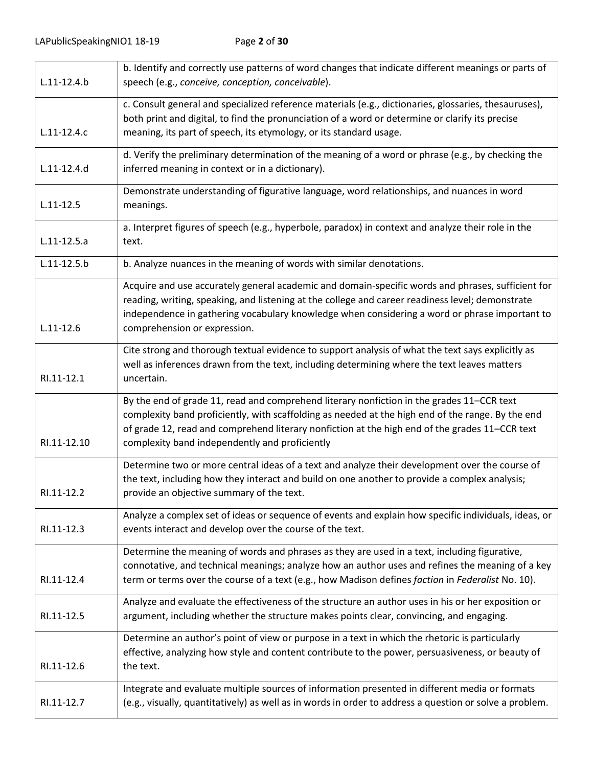|                 | b. Identify and correctly use patterns of word changes that indicate different meanings or parts of                                                                                                                                                                                                                                                |
|-----------------|----------------------------------------------------------------------------------------------------------------------------------------------------------------------------------------------------------------------------------------------------------------------------------------------------------------------------------------------------|
| $L.11 - 12.4.b$ | speech (e.g., conceive, conception, conceivable).                                                                                                                                                                                                                                                                                                  |
| $L.11-12.4.c$   | c. Consult general and specialized reference materials (e.g., dictionaries, glossaries, thesauruses),<br>both print and digital, to find the pronunciation of a word or determine or clarify its precise<br>meaning, its part of speech, its etymology, or its standard usage.                                                                     |
|                 | d. Verify the preliminary determination of the meaning of a word or phrase (e.g., by checking the                                                                                                                                                                                                                                                  |
| $L.11 - 12.4.d$ | inferred meaning in context or in a dictionary).                                                                                                                                                                                                                                                                                                   |
| $L.11 - 12.5$   | Demonstrate understanding of figurative language, word relationships, and nuances in word<br>meanings.                                                                                                                                                                                                                                             |
| $L.11-12.5.a$   | a. Interpret figures of speech (e.g., hyperbole, paradox) in context and analyze their role in the<br>text.                                                                                                                                                                                                                                        |
| $L.11 - 12.5.b$ | b. Analyze nuances in the meaning of words with similar denotations.                                                                                                                                                                                                                                                                               |
| $L.11 - 12.6$   | Acquire and use accurately general academic and domain-specific words and phrases, sufficient for<br>reading, writing, speaking, and listening at the college and career readiness level; demonstrate<br>independence in gathering vocabulary knowledge when considering a word or phrase important to<br>comprehension or expression.             |
| RI.11-12.1      | Cite strong and thorough textual evidence to support analysis of what the text says explicitly as<br>well as inferences drawn from the text, including determining where the text leaves matters<br>uncertain.                                                                                                                                     |
| RI.11-12.10     | By the end of grade 11, read and comprehend literary nonfiction in the grades 11-CCR text<br>complexity band proficiently, with scaffolding as needed at the high end of the range. By the end<br>of grade 12, read and comprehend literary nonfiction at the high end of the grades 11-CCR text<br>complexity band independently and proficiently |
| RI.11-12.2      | Determine two or more central ideas of a text and analyze their development over the course of<br>the text, including how they interact and build on one another to provide a complex analysis;<br>provide an objective summary of the text.                                                                                                       |
| RI.11-12.3      | Analyze a complex set of ideas or sequence of events and explain how specific individuals, ideas, or<br>events interact and develop over the course of the text.                                                                                                                                                                                   |
| RI.11-12.4      | Determine the meaning of words and phrases as they are used in a text, including figurative,<br>connotative, and technical meanings; analyze how an author uses and refines the meaning of a key<br>term or terms over the course of a text (e.g., how Madison defines faction in Federalist No. 10).                                              |
| RI.11-12.5      | Analyze and evaluate the effectiveness of the structure an author uses in his or her exposition or<br>argument, including whether the structure makes points clear, convincing, and engaging.                                                                                                                                                      |
| RI.11-12.6      | Determine an author's point of view or purpose in a text in which the rhetoric is particularly<br>effective, analyzing how style and content contribute to the power, persuasiveness, or beauty of<br>the text.                                                                                                                                    |
| RI.11-12.7      | Integrate and evaluate multiple sources of information presented in different media or formats<br>(e.g., visually, quantitatively) as well as in words in order to address a question or solve a problem.                                                                                                                                          |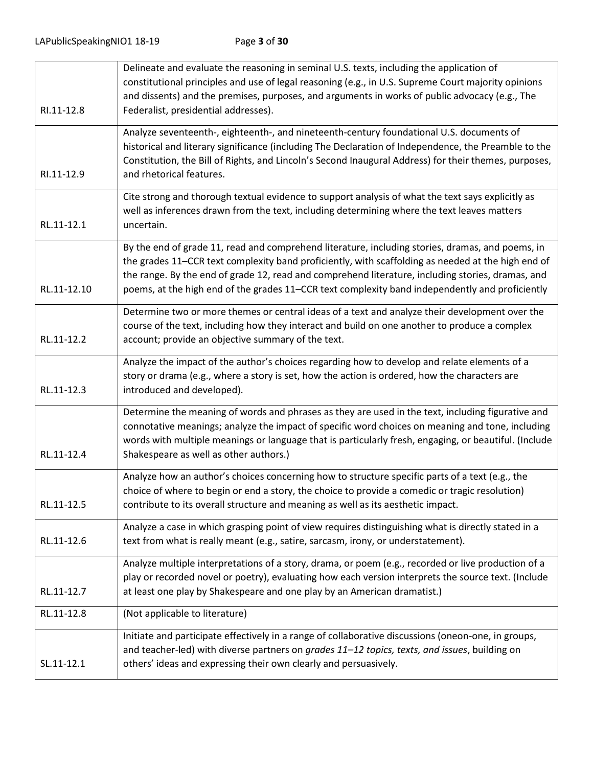| SL.11-12.1  | Initiate and participate effectively in a range of collaborative discussions (oneon-one, in groups,<br>and teacher-led) with diverse partners on grades 11-12 topics, texts, and issues, building on<br>others' ideas and expressing their own clearly and persuasively.                                                                                                                                       |
|-------------|----------------------------------------------------------------------------------------------------------------------------------------------------------------------------------------------------------------------------------------------------------------------------------------------------------------------------------------------------------------------------------------------------------------|
| RL.11-12.8  | (Not applicable to literature)                                                                                                                                                                                                                                                                                                                                                                                 |
| RL.11-12.7  | Analyze multiple interpretations of a story, drama, or poem (e.g., recorded or live production of a<br>play or recorded novel or poetry), evaluating how each version interprets the source text. (Include<br>at least one play by Shakespeare and one play by an American dramatist.)                                                                                                                         |
| RL.11-12.6  | Analyze a case in which grasping point of view requires distinguishing what is directly stated in a<br>text from what is really meant (e.g., satire, sarcasm, irony, or understatement).                                                                                                                                                                                                                       |
| RL.11-12.5  | Analyze how an author's choices concerning how to structure specific parts of a text (e.g., the<br>choice of where to begin or end a story, the choice to provide a comedic or tragic resolution)<br>contribute to its overall structure and meaning as well as its aesthetic impact.                                                                                                                          |
| RL.11-12.4  | Determine the meaning of words and phrases as they are used in the text, including figurative and<br>connotative meanings; analyze the impact of specific word choices on meaning and tone, including<br>words with multiple meanings or language that is particularly fresh, engaging, or beautiful. (Include<br>Shakespeare as well as other authors.)                                                       |
| RL.11-12.3  | Analyze the impact of the author's choices regarding how to develop and relate elements of a<br>story or drama (e.g., where a story is set, how the action is ordered, how the characters are<br>introduced and developed).                                                                                                                                                                                    |
| RL.11-12.2  | Determine two or more themes or central ideas of a text and analyze their development over the<br>course of the text, including how they interact and build on one another to produce a complex<br>account; provide an objective summary of the text.                                                                                                                                                          |
| RL.11-12.10 | By the end of grade 11, read and comprehend literature, including stories, dramas, and poems, in<br>the grades 11–CCR text complexity band proficiently, with scaffolding as needed at the high end of<br>the range. By the end of grade 12, read and comprehend literature, including stories, dramas, and<br>poems, at the high end of the grades 11–CCR text complexity band independently and proficiently |
| RL.11-12.1  | Cite strong and thorough textual evidence to support analysis of what the text says explicitly as<br>well as inferences drawn from the text, including determining where the text leaves matters<br>uncertain.                                                                                                                                                                                                 |
| RI.11-12.9  | Analyze seventeenth-, eighteenth-, and nineteenth-century foundational U.S. documents of<br>historical and literary significance (including The Declaration of Independence, the Preamble to the<br>Constitution, the Bill of Rights, and Lincoln's Second Inaugural Address) for their themes, purposes,<br>and rhetorical features.                                                                          |
| RI.11-12.8  | Delineate and evaluate the reasoning in seminal U.S. texts, including the application of<br>constitutional principles and use of legal reasoning (e.g., in U.S. Supreme Court majority opinions<br>and dissents) and the premises, purposes, and arguments in works of public advocacy (e.g., The<br>Federalist, presidential addresses).                                                                      |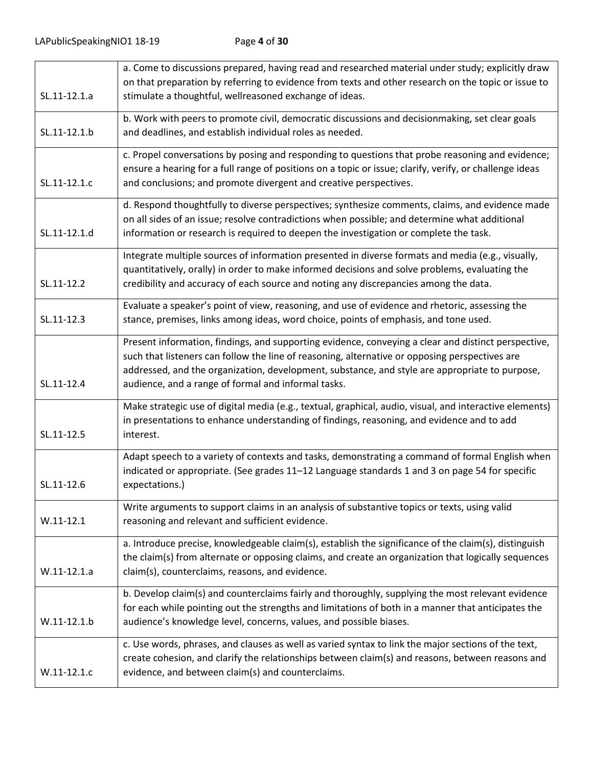| SL.11-12.1.a  | a. Come to discussions prepared, having read and researched material under study; explicitly draw<br>on that preparation by referring to evidence from texts and other research on the topic or issue to<br>stimulate a thoughtful, wellreasoned exchange of ideas.                                                                                            |
|---------------|----------------------------------------------------------------------------------------------------------------------------------------------------------------------------------------------------------------------------------------------------------------------------------------------------------------------------------------------------------------|
| SL.11-12.1.b  | b. Work with peers to promote civil, democratic discussions and decisionmaking, set clear goals<br>and deadlines, and establish individual roles as needed.                                                                                                                                                                                                    |
| SL.11-12.1.c  | c. Propel conversations by posing and responding to questions that probe reasoning and evidence;<br>ensure a hearing for a full range of positions on a topic or issue; clarify, verify, or challenge ideas<br>and conclusions; and promote divergent and creative perspectives.                                                                               |
| SL.11-12.1.d  | d. Respond thoughtfully to diverse perspectives; synthesize comments, claims, and evidence made<br>on all sides of an issue; resolve contradictions when possible; and determine what additional<br>information or research is required to deepen the investigation or complete the task.                                                                      |
| SL.11-12.2    | Integrate multiple sources of information presented in diverse formats and media (e.g., visually,<br>quantitatively, orally) in order to make informed decisions and solve problems, evaluating the<br>credibility and accuracy of each source and noting any discrepancies among the data.                                                                    |
| SL.11-12.3    | Evaluate a speaker's point of view, reasoning, and use of evidence and rhetoric, assessing the<br>stance, premises, links among ideas, word choice, points of emphasis, and tone used.                                                                                                                                                                         |
| SL.11-12.4    | Present information, findings, and supporting evidence, conveying a clear and distinct perspective,<br>such that listeners can follow the line of reasoning, alternative or opposing perspectives are<br>addressed, and the organization, development, substance, and style are appropriate to purpose,<br>audience, and a range of formal and informal tasks. |
| SL.11-12.5    | Make strategic use of digital media (e.g., textual, graphical, audio, visual, and interactive elements)<br>in presentations to enhance understanding of findings, reasoning, and evidence and to add<br>interest.                                                                                                                                              |
| SL.11-12.6    | Adapt speech to a variety of contexts and tasks, demonstrating a command of formal English when<br>indicated or appropriate. (See grades 11-12 Language standards 1 and 3 on page 54 for specific<br>expectations.)                                                                                                                                            |
| $W.11-12.1$   | Write arguments to support claims in an analysis of substantive topics or texts, using valid<br>reasoning and relevant and sufficient evidence.                                                                                                                                                                                                                |
| $W.11-12.1.a$ | a. Introduce precise, knowledgeable claim(s), establish the significance of the claim(s), distinguish<br>the claim(s) from alternate or opposing claims, and create an organization that logically sequences<br>claim(s), counterclaims, reasons, and evidence.                                                                                                |
| $W.11-12.1.b$ | b. Develop claim(s) and counterclaims fairly and thoroughly, supplying the most relevant evidence<br>for each while pointing out the strengths and limitations of both in a manner that anticipates the<br>audience's knowledge level, concerns, values, and possible biases.                                                                                  |
| $W.11-12.1.c$ | c. Use words, phrases, and clauses as well as varied syntax to link the major sections of the text,<br>create cohesion, and clarify the relationships between claim(s) and reasons, between reasons and<br>evidence, and between claim(s) and counterclaims.                                                                                                   |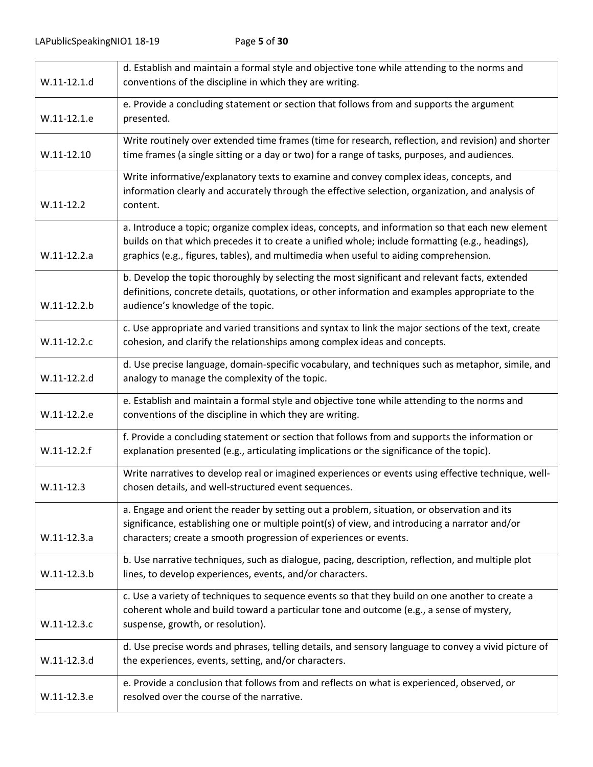|               | d. Establish and maintain a formal style and objective tone while attending to the norms and                                                                                                                                                                                                  |
|---------------|-----------------------------------------------------------------------------------------------------------------------------------------------------------------------------------------------------------------------------------------------------------------------------------------------|
| W.11-12.1.d   | conventions of the discipline in which they are writing.                                                                                                                                                                                                                                      |
| W.11-12.1.e   | e. Provide a concluding statement or section that follows from and supports the argument<br>presented.                                                                                                                                                                                        |
| $W.11-12.10$  | Write routinely over extended time frames (time for research, reflection, and revision) and shorter<br>time frames (a single sitting or a day or two) for a range of tasks, purposes, and audiences.                                                                                          |
| $W.11-12.2$   | Write informative/explanatory texts to examine and convey complex ideas, concepts, and<br>information clearly and accurately through the effective selection, organization, and analysis of<br>content.                                                                                       |
| $W.11-12.2.a$ | a. Introduce a topic; organize complex ideas, concepts, and information so that each new element<br>builds on that which precedes it to create a unified whole; include formatting (e.g., headings),<br>graphics (e.g., figures, tables), and multimedia when useful to aiding comprehension. |
| W.11-12.2.b   | b. Develop the topic thoroughly by selecting the most significant and relevant facts, extended<br>definitions, concrete details, quotations, or other information and examples appropriate to the<br>audience's knowledge of the topic.                                                       |
| W.11-12.2.c   | c. Use appropriate and varied transitions and syntax to link the major sections of the text, create<br>cohesion, and clarify the relationships among complex ideas and concepts.                                                                                                              |
| W.11-12.2.d   | d. Use precise language, domain-specific vocabulary, and techniques such as metaphor, simile, and<br>analogy to manage the complexity of the topic.                                                                                                                                           |
| W.11-12.2.e   | e. Establish and maintain a formal style and objective tone while attending to the norms and<br>conventions of the discipline in which they are writing.                                                                                                                                      |
| $W.11-12.2.f$ | f. Provide a concluding statement or section that follows from and supports the information or<br>explanation presented (e.g., articulating implications or the significance of the topic).                                                                                                   |
| $W.11-12.3$   | Write narratives to develop real or imagined experiences or events using effective technique, well-<br>chosen details, and well-structured event sequences.                                                                                                                                   |
| $W.11-12.3.a$ | a. Engage and orient the reader by setting out a problem, situation, or observation and its<br>significance, establishing one or multiple point(s) of view, and introducing a narrator and/or<br>characters; create a smooth progression of experiences or events.                            |
| W.11-12.3.b   | b. Use narrative techniques, such as dialogue, pacing, description, reflection, and multiple plot<br>lines, to develop experiences, events, and/or characters.                                                                                                                                |
| W.11-12.3.c   | c. Use a variety of techniques to sequence events so that they build on one another to create a<br>coherent whole and build toward a particular tone and outcome (e.g., a sense of mystery,<br>suspense, growth, or resolution).                                                              |
| W.11-12.3.d   | d. Use precise words and phrases, telling details, and sensory language to convey a vivid picture of<br>the experiences, events, setting, and/or characters.                                                                                                                                  |
| W.11-12.3.e   | e. Provide a conclusion that follows from and reflects on what is experienced, observed, or<br>resolved over the course of the narrative.                                                                                                                                                     |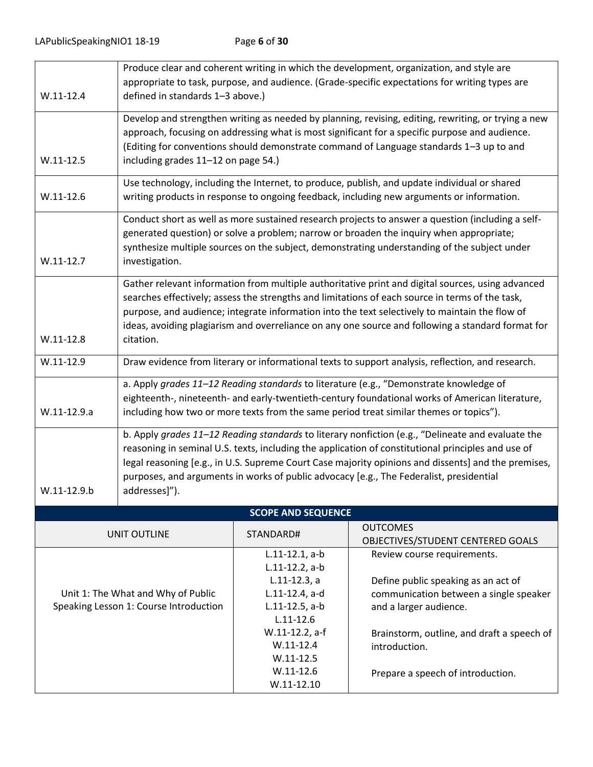|                                                                              |                                                                                                                                                                                                                                                                                                                                                                                                                            |                                                                                                                  | Produce clear and coherent writing in which the development, organization, and style are<br>appropriate to task, purpose, and audience. (Grade-specific expectations for writing types are |
|------------------------------------------------------------------------------|----------------------------------------------------------------------------------------------------------------------------------------------------------------------------------------------------------------------------------------------------------------------------------------------------------------------------------------------------------------------------------------------------------------------------|------------------------------------------------------------------------------------------------------------------|--------------------------------------------------------------------------------------------------------------------------------------------------------------------------------------------|
| $W.11-12.4$                                                                  | defined in standards 1-3 above.)                                                                                                                                                                                                                                                                                                                                                                                           |                                                                                                                  |                                                                                                                                                                                            |
| $W.11-12.5$                                                                  | Develop and strengthen writing as needed by planning, revising, editing, rewriting, or trying a new<br>approach, focusing on addressing what is most significant for a specific purpose and audience.<br>(Editing for conventions should demonstrate command of Language standards 1-3 up to and<br>including grades 11-12 on page 54.)                                                                                    |                                                                                                                  |                                                                                                                                                                                            |
|                                                                              | Use technology, including the Internet, to produce, publish, and update individual or shared                                                                                                                                                                                                                                                                                                                               |                                                                                                                  |                                                                                                                                                                                            |
| $W.11-12.6$                                                                  |                                                                                                                                                                                                                                                                                                                                                                                                                            |                                                                                                                  | writing products in response to ongoing feedback, including new arguments or information.                                                                                                  |
| $W.11-12.7$                                                                  | Conduct short as well as more sustained research projects to answer a question (including a self-<br>generated question) or solve a problem; narrow or broaden the inquiry when appropriate;<br>synthesize multiple sources on the subject, demonstrating understanding of the subject under<br>investigation.                                                                                                             |                                                                                                                  |                                                                                                                                                                                            |
| $W.11-12.8$                                                                  | Gather relevant information from multiple authoritative print and digital sources, using advanced<br>searches effectively; assess the strengths and limitations of each source in terms of the task,<br>purpose, and audience; integrate information into the text selectively to maintain the flow of<br>ideas, avoiding plagiarism and overreliance on any one source and following a standard format for<br>citation.   |                                                                                                                  |                                                                                                                                                                                            |
| $W.11-12.9$                                                                  | Draw evidence from literary or informational texts to support analysis, reflection, and research.                                                                                                                                                                                                                                                                                                                          |                                                                                                                  |                                                                                                                                                                                            |
| W.11-12.9.a                                                                  | a. Apply grades 11-12 Reading standards to literature (e.g., "Demonstrate knowledge of<br>eighteenth-, nineteenth- and early-twentieth-century foundational works of American literature,<br>including how two or more texts from the same period treat similar themes or topics").                                                                                                                                        |                                                                                                                  |                                                                                                                                                                                            |
| $W.11-12.9.b$                                                                | b. Apply grades 11-12 Reading standards to literary nonfiction (e.g., "Delineate and evaluate the<br>reasoning in seminal U.S. texts, including the application of constitutional principles and use of<br>legal reasoning [e.g., in U.S. Supreme Court Case majority opinions and dissents] and the premises,<br>purposes, and arguments in works of public advocacy [e.g., The Federalist, presidential<br>addresses]"). |                                                                                                                  |                                                                                                                                                                                            |
|                                                                              |                                                                                                                                                                                                                                                                                                                                                                                                                            | <b>SCOPE AND SEQUENCE</b>                                                                                        |                                                                                                                                                                                            |
|                                                                              | <b>UNIT OUTLINE</b>                                                                                                                                                                                                                                                                                                                                                                                                        | STANDARD#                                                                                                        | <b>OUTCOMES</b><br>OBJECTIVES/STUDENT CENTERED GOALS                                                                                                                                       |
| Unit 1: The What and Why of Public<br>Speaking Lesson 1: Course Introduction |                                                                                                                                                                                                                                                                                                                                                                                                                            | $L.11-12.1, a-b$<br>$L.11-12.2$ , a-b<br>$L.11-12.3$ , a<br>L.11-12.4, a-d<br>$L.11-12.5$ , a-b<br>$L.11 - 12.6$ | Review course requirements.<br>Define public speaking as an act of<br>communication between a single speaker<br>and a larger audience.                                                     |
|                                                                              |                                                                                                                                                                                                                                                                                                                                                                                                                            | W.11-12.2, a-f<br>$W.11-12.4$<br>$W.11-12.5$<br>$W.11-12.6$                                                      | Brainstorm, outline, and draft a speech of<br>introduction.<br>Prepare a speech of introduction.                                                                                           |
|                                                                              |                                                                                                                                                                                                                                                                                                                                                                                                                            | $W.11-12.10$                                                                                                     |                                                                                                                                                                                            |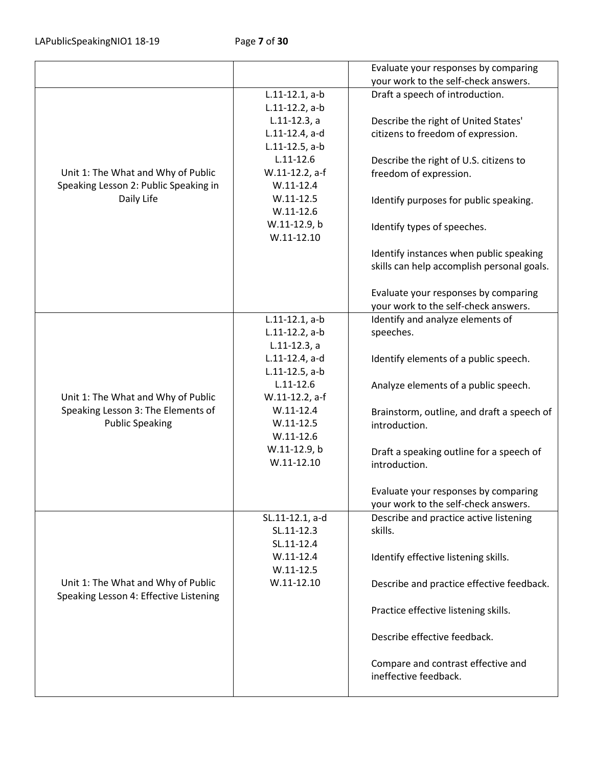|                                        |                   | Evaluate your responses by comparing       |
|----------------------------------------|-------------------|--------------------------------------------|
|                                        |                   | your work to the self-check answers.       |
|                                        | $L.11-12.1, a-b$  | Draft a speech of introduction.            |
|                                        | $L.11-12.2$ , a-b |                                            |
|                                        | $L.11-12.3, a$    | Describe the right of United States'       |
|                                        | L.11-12.4, a-d    | citizens to freedom of expression.         |
|                                        | $L.11-12.5$ , a-b |                                            |
|                                        | $L.11 - 12.6$     | Describe the right of U.S. citizens to     |
| Unit 1: The What and Why of Public     | W.11-12.2, a-f    | freedom of expression.                     |
| Speaking Lesson 2: Public Speaking in  | $W.11-12.4$       |                                            |
| Daily Life                             | $W.11 - 12.5$     | Identify purposes for public speaking.     |
|                                        | $W.11 - 12.6$     |                                            |
|                                        | W.11-12.9, b      |                                            |
|                                        | $W.11-12.10$      | Identify types of speeches.                |
|                                        |                   |                                            |
|                                        |                   | Identify instances when public speaking    |
|                                        |                   | skills can help accomplish personal goals. |
|                                        |                   |                                            |
|                                        |                   | Evaluate your responses by comparing       |
|                                        |                   | your work to the self-check answers.       |
|                                        | $L.11-12.1, a-b$  | Identify and analyze elements of           |
|                                        | $L.11-12.2$ , a-b | speeches.                                  |
|                                        | $L.11-12.3, a$    |                                            |
|                                        | L.11-12.4, a-d    | Identify elements of a public speech.      |
|                                        | $L.11-12.5$ , a-b |                                            |
|                                        | $L.11 - 12.6$     | Analyze elements of a public speech.       |
| Unit 1: The What and Why of Public     | W.11-12.2, a-f    |                                            |
| Speaking Lesson 3: The Elements of     | $W.11 - 12.4$     | Brainstorm, outline, and draft a speech of |
| <b>Public Speaking</b>                 | $W.11 - 12.5$     | introduction.                              |
|                                        | $W.11 - 12.6$     |                                            |
|                                        | W.11-12.9, b      | Draft a speaking outline for a speech of   |
|                                        | $W.11-12.10$      | introduction.                              |
|                                        |                   |                                            |
|                                        |                   | Evaluate your responses by comparing       |
|                                        |                   | your work to the self-check answers.       |
|                                        | SL.11-12.1, a-d   | Describe and practice active listening     |
|                                        | SL.11-12.3        | skills.                                    |
|                                        | SL.11-12.4        |                                            |
|                                        | $W.11-12.4$       | Identify effective listening skills.       |
|                                        | $W.11-12.5$       |                                            |
| Unit 1: The What and Why of Public     | $W.11-12.10$      | Describe and practice effective feedback.  |
| Speaking Lesson 4: Effective Listening |                   |                                            |
|                                        |                   | Practice effective listening skills.       |
|                                        |                   |                                            |
|                                        |                   | Describe effective feedback.               |
|                                        |                   |                                            |
|                                        |                   | Compare and contrast effective and         |
|                                        |                   | ineffective feedback.                      |
|                                        |                   |                                            |
|                                        |                   |                                            |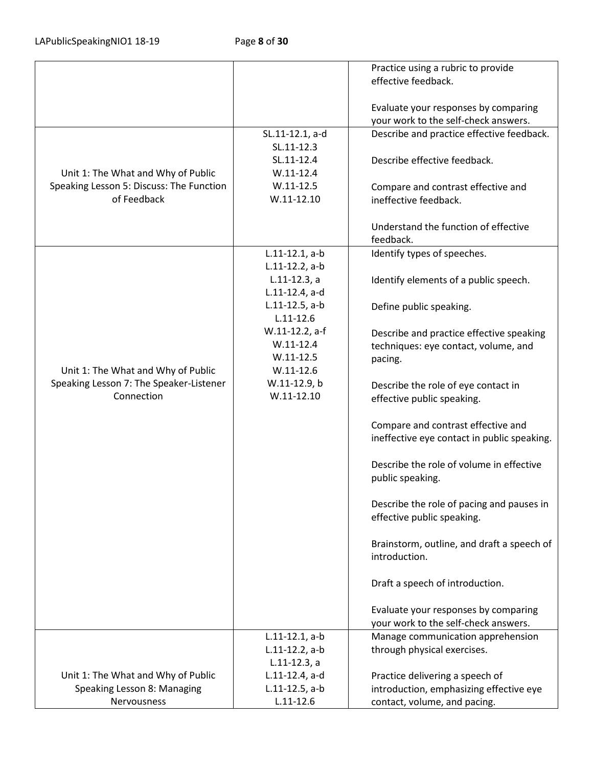|                                          |                   | Practice using a rubric to provide          |
|------------------------------------------|-------------------|---------------------------------------------|
|                                          |                   | effective feedback.                         |
|                                          |                   |                                             |
|                                          |                   | Evaluate your responses by comparing        |
|                                          |                   | your work to the self-check answers.        |
|                                          | SL.11-12.1, a-d   | Describe and practice effective feedback.   |
|                                          | SL.11-12.3        |                                             |
|                                          | SL.11-12.4        | Describe effective feedback.                |
| Unit 1: The What and Why of Public       | $W.11-12.4$       |                                             |
| Speaking Lesson 5: Discuss: The Function | $W.11-12.5$       | Compare and contrast effective and          |
| of Feedback                              | $W.11-12.10$      | ineffective feedback.                       |
|                                          |                   |                                             |
|                                          |                   | Understand the function of effective        |
|                                          |                   | feedback.                                   |
|                                          | $L.11-12.1, a-b$  | Identify types of speeches.                 |
|                                          | $L.11-12.2$ , a-b |                                             |
|                                          | $L.11-12.3$ , a   | Identify elements of a public speech.       |
|                                          | L.11-12.4, a-d    |                                             |
|                                          | $L.11-12.5$ , a-b | Define public speaking.                     |
|                                          | $L.11 - 12.6$     |                                             |
|                                          | W.11-12.2, a-f    | Describe and practice effective speaking    |
|                                          | $W.11-12.4$       | techniques: eye contact, volume, and        |
|                                          | $W.11-12.5$       | pacing.                                     |
| Unit 1: The What and Why of Public       | $W.11-12.6$       |                                             |
| Speaking Lesson 7: The Speaker-Listener  | W.11-12.9, b      | Describe the role of eye contact in         |
| Connection                               | $W.11-12.10$      | effective public speaking.                  |
|                                          |                   |                                             |
|                                          |                   | Compare and contrast effective and          |
|                                          |                   | ineffective eye contact in public speaking. |
|                                          |                   |                                             |
|                                          |                   | Describe the role of volume in effective    |
|                                          |                   | public speaking.                            |
|                                          |                   |                                             |
|                                          |                   | Describe the role of pacing and pauses in   |
|                                          |                   | effective public speaking.                  |
|                                          |                   |                                             |
|                                          |                   | Brainstorm, outline, and draft a speech of  |
|                                          |                   | introduction.                               |
|                                          |                   |                                             |
|                                          |                   | Draft a speech of introduction.             |
|                                          |                   |                                             |
|                                          |                   | Evaluate your responses by comparing        |
|                                          |                   | your work to the self-check answers.        |
|                                          | $L.11-12.1, a-b$  | Manage communication apprehension           |
|                                          | $L.11-12.2$ , a-b | through physical exercises.                 |
|                                          | $L.11-12.3, a$    |                                             |
| Unit 1: The What and Why of Public       | L.11-12.4, a-d    | Practice delivering a speech of             |
| Speaking Lesson 8: Managing              | $L.11-12.5$ , a-b | introduction, emphasizing effective eye     |
| Nervousness                              | $L.11 - 12.6$     | contact, volume, and pacing.                |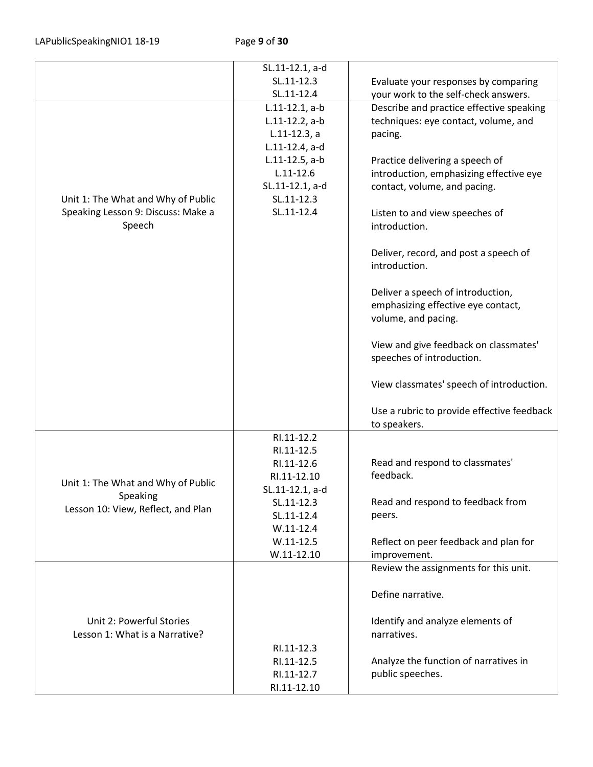LAPublicSpeakingNIO1 18-19 Page **9** of **30**

|                                    | SL.11-12.1, a-d   |                                            |
|------------------------------------|-------------------|--------------------------------------------|
|                                    | SL.11-12.3        | Evaluate your responses by comparing       |
|                                    | SL.11-12.4        | your work to the self-check answers.       |
|                                    | $L.11-12.1, a-b$  | Describe and practice effective speaking   |
|                                    | $L.11-12.2$ , a-b | techniques: eye contact, volume, and       |
|                                    | $L.11-12.3, a$    | pacing.                                    |
|                                    | L.11-12.4, a-d    |                                            |
|                                    | $L.11-12.5$ , a-b | Practice delivering a speech of            |
|                                    | $L.11 - 12.6$     | introduction, emphasizing effective eye    |
|                                    | SL.11-12.1, a-d   | contact, volume, and pacing.               |
| Unit 1: The What and Why of Public | SL.11-12.3        |                                            |
| Speaking Lesson 9: Discuss: Make a | SL.11-12.4        | Listen to and view speeches of             |
| Speech                             |                   | introduction.                              |
|                                    |                   |                                            |
|                                    |                   |                                            |
|                                    |                   | Deliver, record, and post a speech of      |
|                                    |                   | introduction.                              |
|                                    |                   |                                            |
|                                    |                   | Deliver a speech of introduction,          |
|                                    |                   | emphasizing effective eye contact,         |
|                                    |                   | volume, and pacing.                        |
|                                    |                   |                                            |
|                                    |                   | View and give feedback on classmates'      |
|                                    |                   | speeches of introduction.                  |
|                                    |                   |                                            |
|                                    |                   | View classmates' speech of introduction.   |
|                                    |                   |                                            |
|                                    |                   | Use a rubric to provide effective feedback |
|                                    |                   | to speakers.                               |
|                                    | RI.11-12.2        |                                            |
|                                    | RI.11-12.5        |                                            |
|                                    | RI.11-12.6        | Read and respond to classmates'            |
| Unit 1: The What and Why of Public | RI.11-12.10       | feedback.                                  |
| Speaking                           | SL.11-12.1, a-d   |                                            |
| Lesson 10: View, Reflect, and Plan | SL.11-12.3        | Read and respond to feedback from          |
|                                    | SL.11-12.4        | peers.                                     |
|                                    | $W.11-12.4$       |                                            |
|                                    | $W.11 - 12.5$     | Reflect on peer feedback and plan for      |
|                                    | $W.11-12.10$      | improvement.                               |
|                                    |                   | Review the assignments for this unit.      |
|                                    |                   |                                            |
|                                    |                   | Define narrative.                          |
|                                    |                   |                                            |
| Unit 2: Powerful Stories           |                   | Identify and analyze elements of           |
| Lesson 1: What is a Narrative?     |                   | narratives.                                |
|                                    | RI.11-12.3        |                                            |
|                                    | RI.11-12.5        | Analyze the function of narratives in      |
|                                    | RI.11-12.7        | public speeches.                           |
|                                    | RI.11-12.10       |                                            |
|                                    |                   |                                            |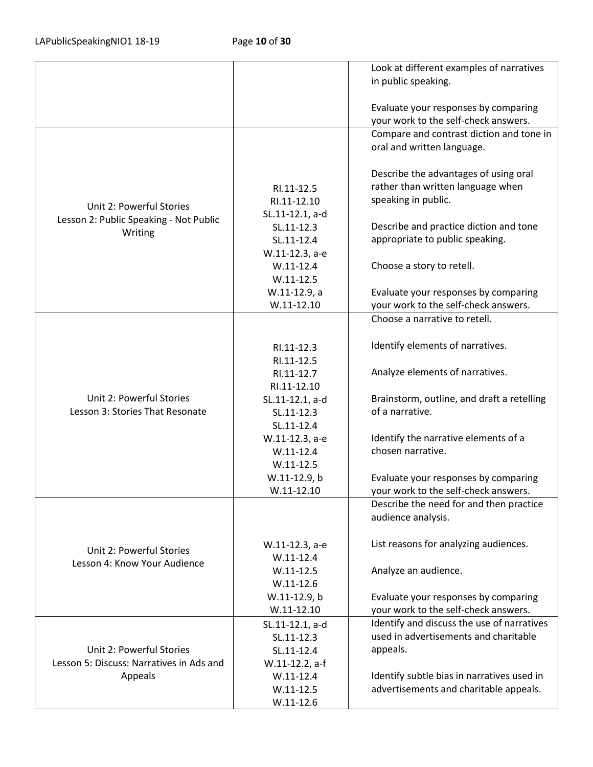|                                          |                 | Look at different examples of narratives                      |
|------------------------------------------|-----------------|---------------------------------------------------------------|
|                                          |                 | in public speaking.                                           |
|                                          |                 |                                                               |
|                                          |                 | Evaluate your responses by comparing                          |
|                                          |                 | your work to the self-check answers.                          |
|                                          |                 | Compare and contrast diction and tone in                      |
|                                          |                 | oral and written language.                                    |
|                                          |                 |                                                               |
|                                          |                 | Describe the advantages of using oral                         |
|                                          | RI.11-12.5      | rather than written language when                             |
|                                          | RI.11-12.10     | speaking in public.                                           |
| Unit 2: Powerful Stories                 | SL.11-12.1, a-d |                                                               |
| Lesson 2: Public Speaking - Not Public   | SL.11-12.3      | Describe and practice diction and tone                        |
| Writing                                  | SL.11-12.4      | appropriate to public speaking.                               |
|                                          | W.11-12.3, a-e  |                                                               |
|                                          | $W.11-12.4$     | Choose a story to retell.                                     |
|                                          | $W.11 - 12.5$   |                                                               |
|                                          | W.11-12.9, a    | Evaluate your responses by comparing                          |
|                                          | $W.11-12.10$    | your work to the self-check answers.                          |
|                                          |                 | Choose a narrative to retell.                                 |
|                                          |                 |                                                               |
|                                          |                 | Identify elements of narratives.                              |
|                                          | RI.11-12.3      |                                                               |
|                                          | RI.11-12.5      |                                                               |
|                                          | RI.11-12.7      | Analyze elements of narratives.                               |
| Unit 2: Powerful Stories                 | RI.11-12.10     |                                                               |
| Lesson 3: Stories That Resonate          | SL.11-12.1, a-d | Brainstorm, outline, and draft a retelling<br>of a narrative. |
|                                          | SL.11-12.3      |                                                               |
|                                          | SL.11-12.4      |                                                               |
|                                          | W.11-12.3, a-e  | Identify the narrative elements of a                          |
|                                          | $W.11-12.4$     | chosen narrative.                                             |
|                                          | $W.11 - 12.5$   |                                                               |
|                                          | W.11-12.9, b    | Evaluate your responses by comparing                          |
|                                          | $W.11-12.10$    | your work to the self-check answers.                          |
|                                          |                 | Describe the need for and then practice                       |
|                                          |                 | audience analysis.                                            |
|                                          |                 |                                                               |
| Unit 2: Powerful Stories                 | W.11-12.3, a-e  | List reasons for analyzing audiences.                         |
| Lesson 4: Know Your Audience             | $W.11-12.4$     |                                                               |
|                                          | $W.11 - 12.5$   | Analyze an audience.                                          |
|                                          | $W.11 - 12.6$   |                                                               |
|                                          | W.11-12.9, b    | Evaluate your responses by comparing                          |
|                                          | $W.11-12.10$    | your work to the self-check answers.                          |
|                                          | SL.11-12.1, a-d | Identify and discuss the use of narratives                    |
|                                          | SL.11-12.3      | used in advertisements and charitable                         |
| Unit 2: Powerful Stories                 | SL.11-12.4      | appeals.                                                      |
| Lesson 5: Discuss: Narratives in Ads and | W.11-12.2, a-f  |                                                               |
| Appeals                                  | $W.11-12.4$     | Identify subtle bias in narratives used in                    |
|                                          | $W.11 - 12.5$   | advertisements and charitable appeals.                        |
|                                          | $W.11-12.6$     |                                                               |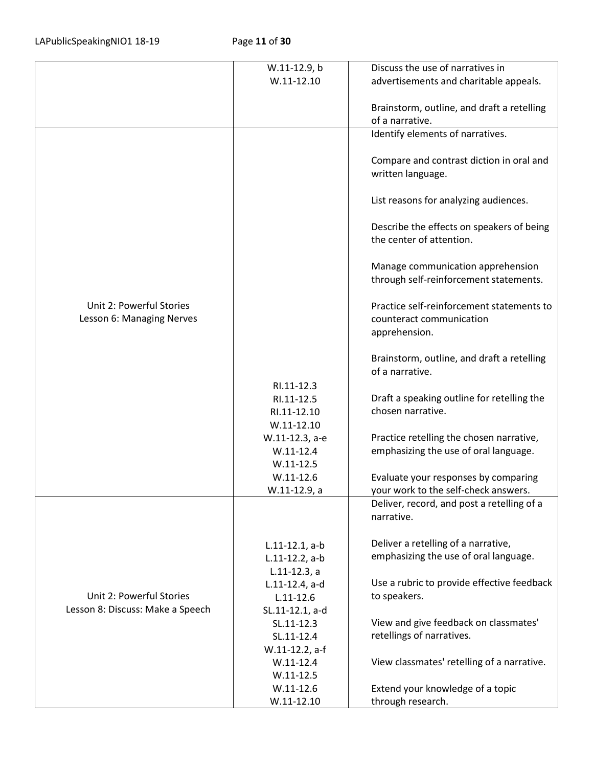|                                  | W.11-12.9, b      | Discuss the use of narratives in           |
|----------------------------------|-------------------|--------------------------------------------|
|                                  | $W.11 - 12.10$    | advertisements and charitable appeals.     |
|                                  |                   |                                            |
|                                  |                   | Brainstorm, outline, and draft a retelling |
|                                  |                   | of a narrative.                            |
|                                  |                   | Identify elements of narratives.           |
|                                  |                   |                                            |
|                                  |                   |                                            |
|                                  |                   | Compare and contrast diction in oral and   |
|                                  |                   | written language.                          |
|                                  |                   |                                            |
|                                  |                   | List reasons for analyzing audiences.      |
|                                  |                   |                                            |
|                                  |                   | Describe the effects on speakers of being  |
|                                  |                   | the center of attention.                   |
|                                  |                   |                                            |
|                                  |                   | Manage communication apprehension          |
|                                  |                   | through self-reinforcement statements.     |
|                                  |                   |                                            |
| Unit 2: Powerful Stories         |                   | Practice self-reinforcement statements to  |
| Lesson 6: Managing Nerves        |                   | counteract communication                   |
|                                  |                   | apprehension.                              |
|                                  |                   |                                            |
|                                  |                   | Brainstorm, outline, and draft a retelling |
|                                  |                   | of a narrative.                            |
|                                  | RI.11-12.3        |                                            |
|                                  | RI.11-12.5        | Draft a speaking outline for retelling the |
|                                  | RI.11-12.10       | chosen narrative.                          |
|                                  | $W.11-12.10$      |                                            |
|                                  | W.11-12.3, a-e    | Practice retelling the chosen narrative,   |
|                                  |                   | emphasizing the use of oral language.      |
|                                  | $W.11-12.4$       |                                            |
|                                  | $W.11-12.5$       |                                            |
|                                  | $W.11-12.6$       | Evaluate your responses by comparing       |
|                                  | W.11-12.9, a      | your work to the self-check answers.       |
|                                  |                   | Deliver, record, and post a retelling of a |
|                                  |                   | narrative.                                 |
|                                  |                   |                                            |
|                                  | $L.11-12.1, a-b$  | Deliver a retelling of a narrative,        |
|                                  | $L.11-12.2$ , a-b | emphasizing the use of oral language.      |
|                                  | $L.11-12.3$ , a   |                                            |
|                                  | L.11-12.4, a-d    | Use a rubric to provide effective feedback |
| Unit 2: Powerful Stories         | $L.11 - 12.6$     | to speakers.                               |
| Lesson 8: Discuss: Make a Speech | SL.11-12.1, a-d   |                                            |
|                                  | SL.11-12.3        | View and give feedback on classmates'      |
|                                  | SL.11-12.4        | retellings of narratives.                  |
|                                  | W.11-12.2, a-f    |                                            |
|                                  | $W.11-12.4$       | View classmates' retelling of a narrative. |
|                                  | $W.11-12.5$       |                                            |
|                                  | $W.11-12.6$       | Extend your knowledge of a topic           |
|                                  | $W.11-12.10$      | through research.                          |
|                                  |                   |                                            |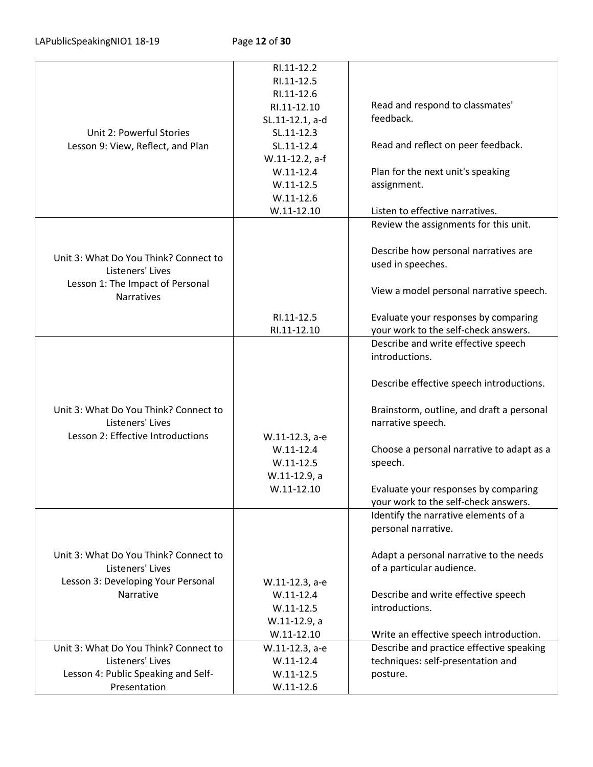|                                       | RI.11-12.2      |                                           |
|---------------------------------------|-----------------|-------------------------------------------|
|                                       | RI.11-12.5      |                                           |
|                                       | RI.11-12.6      |                                           |
|                                       | RI.11-12.10     | Read and respond to classmates'           |
|                                       | SL.11-12.1, a-d | feedback.                                 |
| Unit 2: Powerful Stories              | SL.11-12.3      |                                           |
| Lesson 9: View, Reflect, and Plan     | SL.11-12.4      | Read and reflect on peer feedback.        |
|                                       | W.11-12.2, a-f  |                                           |
|                                       |                 |                                           |
|                                       | $W.11-12.4$     | Plan for the next unit's speaking         |
|                                       | $W.11 - 12.5$   | assignment.                               |
|                                       | $W.11 - 12.6$   |                                           |
|                                       | $W.11-12.10$    | Listen to effective narratives.           |
|                                       |                 | Review the assignments for this unit.     |
|                                       |                 |                                           |
|                                       |                 | Describe how personal narratives are      |
| Unit 3: What Do You Think? Connect to |                 | used in speeches.                         |
| Listeners' Lives                      |                 |                                           |
| Lesson 1: The Impact of Personal      |                 |                                           |
| <b>Narratives</b>                     |                 | View a model personal narrative speech.   |
|                                       |                 |                                           |
|                                       | RI.11-12.5      | Evaluate your responses by comparing      |
|                                       | RI.11-12.10     | your work to the self-check answers.      |
|                                       |                 | Describe and write effective speech       |
|                                       |                 | introductions.                            |
|                                       |                 |                                           |
|                                       |                 |                                           |
|                                       |                 | Describe effective speech introductions.  |
|                                       |                 |                                           |
| Unit 3: What Do You Think? Connect to |                 | Brainstorm, outline, and draft a personal |
| Listeners' Lives                      |                 | narrative speech.                         |
| Lesson 2: Effective Introductions     | W.11-12.3, a-e  |                                           |
|                                       | $W.11-12.4$     | Choose a personal narrative to adapt as a |
|                                       | $W.11 - 12.5$   | speech.                                   |
|                                       | W.11-12.9, a    |                                           |
|                                       |                 |                                           |
|                                       | $W.11-12.10$    | Evaluate your responses by comparing      |
|                                       |                 | your work to the self-check answers.      |
|                                       |                 | Identify the narrative elements of a      |
|                                       |                 | personal narrative.                       |
|                                       |                 |                                           |
| Unit 3: What Do You Think? Connect to |                 | Adapt a personal narrative to the needs   |
| Listeners' Lives                      |                 | of a particular audience.                 |
| Lesson 3: Developing Your Personal    | W.11-12.3, a-e  |                                           |
| Narrative                             | $W.11-12.4$     | Describe and write effective speech       |
|                                       |                 |                                           |
|                                       | $W.11-12.5$     | introductions.                            |
|                                       | W.11-12.9, a    |                                           |
|                                       | $W.11-12.10$    | Write an effective speech introduction.   |
| Unit 3: What Do You Think? Connect to | W.11-12.3, a-e  | Describe and practice effective speaking  |
| Listeners' Lives                      | $W.11-12.4$     | techniques: self-presentation and         |
| Lesson 4: Public Speaking and Self-   | $W.11-12.5$     | posture.                                  |
| Presentation                          | $W.11-12.6$     |                                           |
|                                       |                 |                                           |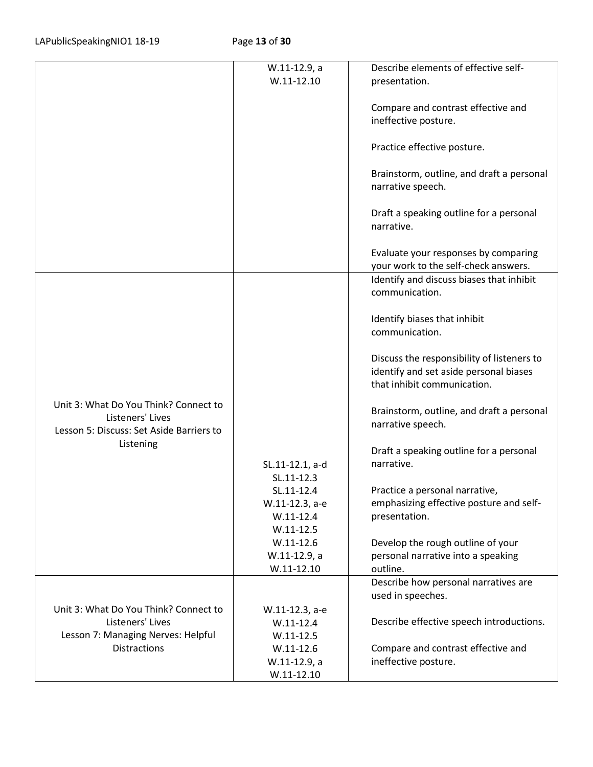|                                                                                                       | W.11-12.9, a                 | Describe elements of effective self-                                                                                |
|-------------------------------------------------------------------------------------------------------|------------------------------|---------------------------------------------------------------------------------------------------------------------|
|                                                                                                       | $W.11 - 12.10$               | presentation.                                                                                                       |
|                                                                                                       |                              |                                                                                                                     |
|                                                                                                       |                              | Compare and contrast effective and                                                                                  |
|                                                                                                       |                              | ineffective posture.                                                                                                |
|                                                                                                       |                              | Practice effective posture.                                                                                         |
|                                                                                                       |                              | Brainstorm, outline, and draft a personal<br>narrative speech.                                                      |
|                                                                                                       |                              | Draft a speaking outline for a personal<br>narrative.                                                               |
|                                                                                                       |                              | Evaluate your responses by comparing<br>your work to the self-check answers.                                        |
|                                                                                                       |                              | Identify and discuss biases that inhibit<br>communication.                                                          |
|                                                                                                       |                              | Identify biases that inhibit<br>communication.                                                                      |
|                                                                                                       |                              | Discuss the responsibility of listeners to<br>identify and set aside personal biases<br>that inhibit communication. |
| Unit 3: What Do You Think? Connect to<br>Listeners' Lives<br>Lesson 5: Discuss: Set Aside Barriers to |                              | Brainstorm, outline, and draft a personal<br>narrative speech.                                                      |
| Listening                                                                                             |                              | Draft a speaking outline for a personal                                                                             |
|                                                                                                       | SL.11-12.1, a-d              | narrative.                                                                                                          |
|                                                                                                       | SL.11-12.3                   |                                                                                                                     |
|                                                                                                       | SL.11-12.4                   | Practice a personal narrative,                                                                                      |
|                                                                                                       | W.11-12.3, a-e               | emphasizing effective posture and self-                                                                             |
|                                                                                                       | $W.11-12.4$<br>$W.11 - 12.5$ | presentation.                                                                                                       |
|                                                                                                       | $W.11-12.6$                  | Develop the rough outline of your                                                                                   |
|                                                                                                       | W.11-12.9, a                 | personal narrative into a speaking                                                                                  |
|                                                                                                       | $W.11-12.10$                 | outline.                                                                                                            |
|                                                                                                       |                              | Describe how personal narratives are                                                                                |
|                                                                                                       |                              | used in speeches.                                                                                                   |
| Unit 3: What Do You Think? Connect to                                                                 | W.11-12.3, a-e               |                                                                                                                     |
| Listeners' Lives                                                                                      | $W.11-12.4$                  | Describe effective speech introductions.                                                                            |
| Lesson 7: Managing Nerves: Helpful                                                                    | $W.11 - 12.5$                |                                                                                                                     |
| <b>Distractions</b>                                                                                   | $W.11-12.6$                  | Compare and contrast effective and                                                                                  |
|                                                                                                       | W.11-12.9, a                 | ineffective posture.                                                                                                |
|                                                                                                       | $W.11-12.10$                 |                                                                                                                     |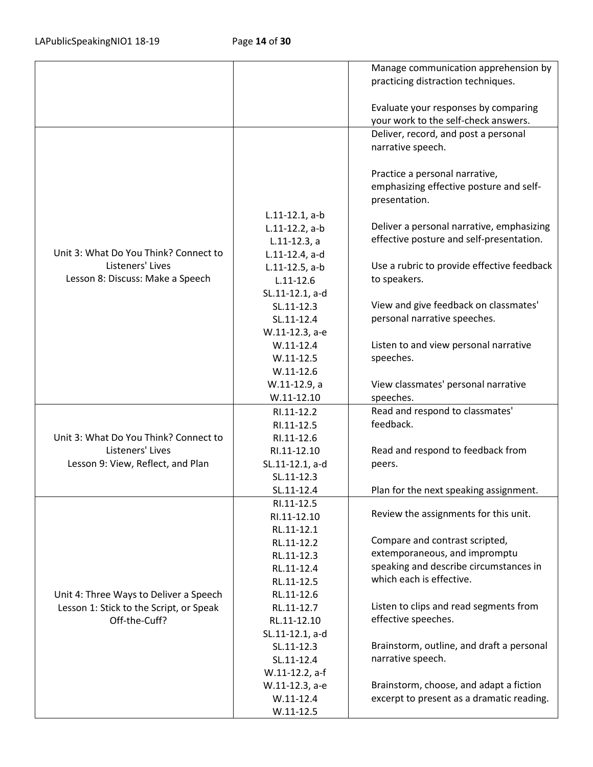|                                         |                   | Manage communication apprehension by       |
|-----------------------------------------|-------------------|--------------------------------------------|
|                                         |                   | practicing distraction techniques.         |
|                                         |                   |                                            |
|                                         |                   | Evaluate your responses by comparing       |
|                                         |                   | your work to the self-check answers.       |
|                                         |                   |                                            |
|                                         |                   | Deliver, record, and post a personal       |
|                                         |                   | narrative speech.                          |
|                                         |                   |                                            |
|                                         |                   | Practice a personal narrative,             |
|                                         |                   | emphasizing effective posture and self-    |
|                                         |                   | presentation.                              |
|                                         | $L.11-12.1, a-b$  |                                            |
|                                         | $L.11-12.2$ , a-b | Deliver a personal narrative, emphasizing  |
|                                         | $L.11-12.3$ , a   | effective posture and self-presentation.   |
| Unit 3: What Do You Think? Connect to   | L.11-12.4, a-d    |                                            |
| Listeners' Lives                        | $L.11-12.5$ , a-b | Use a rubric to provide effective feedback |
| Lesson 8: Discuss: Make a Speech        | $L.11 - 12.6$     | to speakers.                               |
|                                         | SL.11-12.1, a-d   |                                            |
|                                         | SL.11-12.3        | View and give feedback on classmates'      |
|                                         | SL.11-12.4        | personal narrative speeches.               |
|                                         | W.11-12.3, a-e    |                                            |
|                                         | $W.11-12.4$       | Listen to and view personal narrative      |
|                                         | $W.11-12.5$       | speeches.                                  |
|                                         | $W.11-12.6$       |                                            |
|                                         | W.11-12.9, a      | View classmates' personal narrative        |
|                                         | $W.11 - 12.10$    | speeches.                                  |
|                                         | RI.11-12.2        | Read and respond to classmates'            |
|                                         | RI.11-12.5        | feedback.                                  |
| Unit 3: What Do You Think? Connect to   | RI.11-12.6        |                                            |
| Listeners' Lives                        | RI.11-12.10       | Read and respond to feedback from          |
| Lesson 9: View, Reflect, and Plan       | SL.11-12.1, a-d   | peers.                                     |
|                                         | SL.11-12.3        |                                            |
|                                         | SL.11-12.4        | Plan for the next speaking assignment.     |
|                                         | RI.11-12.5        |                                            |
|                                         | RI.11-12.10       | Review the assignments for this unit.      |
|                                         | RL.11-12.1        |                                            |
|                                         | RL.11-12.2        | Compare and contrast scripted,             |
|                                         | RL.11-12.3        | extemporaneous, and impromptu              |
|                                         | RL.11-12.4        | speaking and describe circumstances in     |
|                                         | RL.11-12.5        | which each is effective.                   |
| Unit 4: Three Ways to Deliver a Speech  | RL.11-12.6        |                                            |
| Lesson 1: Stick to the Script, or Speak | RL.11-12.7        | Listen to clips and read segments from     |
|                                         | RL.11-12.10       | effective speeches.                        |
| Off-the-Cuff?                           |                   |                                            |
|                                         | SL.11-12.1, a-d   | Brainstorm, outline, and draft a personal  |
|                                         | SL.11-12.3        | narrative speech.                          |
|                                         | SL.11-12.4        |                                            |
|                                         | W.11-12.2, a-f    |                                            |
|                                         | W.11-12.3, a-e    | Brainstorm, choose, and adapt a fiction    |
|                                         | $W.11-12.4$       | excerpt to present as a dramatic reading.  |
|                                         | $W.11 - 12.5$     |                                            |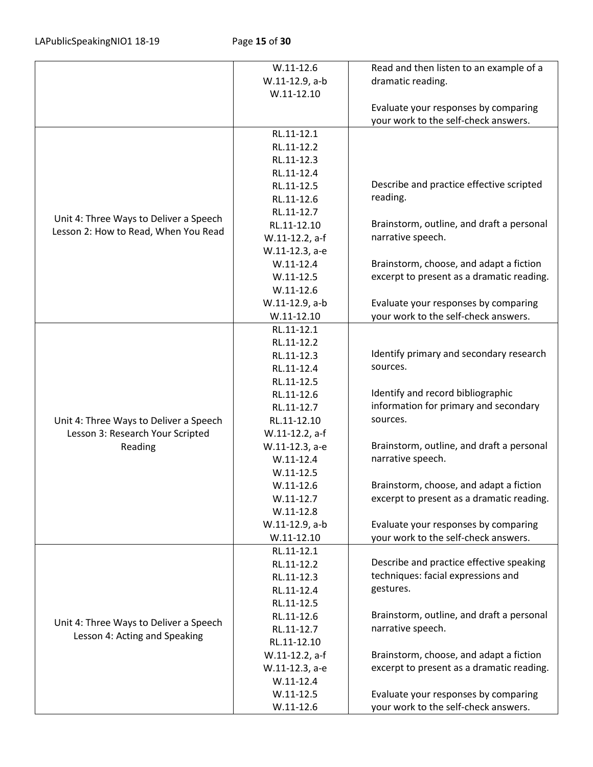|                                                                         | $W.11 - 12.6$  | Read and then listen to an example of a   |
|-------------------------------------------------------------------------|----------------|-------------------------------------------|
|                                                                         | W.11-12.9, a-b | dramatic reading.                         |
|                                                                         | $W.11 - 12.10$ |                                           |
|                                                                         |                | Evaluate your responses by comparing      |
|                                                                         |                | your work to the self-check answers.      |
|                                                                         | RL.11-12.1     |                                           |
|                                                                         | RL.11-12.2     |                                           |
|                                                                         | RL.11-12.3     |                                           |
|                                                                         | RL.11-12.4     |                                           |
|                                                                         | RL.11-12.5     | Describe and practice effective scripted  |
|                                                                         | RL.11-12.6     | reading.                                  |
|                                                                         | RL.11-12.7     |                                           |
| Unit 4: Three Ways to Deliver a Speech                                  | RL.11-12.10    | Brainstorm, outline, and draft a personal |
| Lesson 2: How to Read, When You Read                                    | W.11-12.2, a-f | narrative speech.                         |
|                                                                         | W.11-12.3, a-e |                                           |
|                                                                         | $W.11-12.4$    | Brainstorm, choose, and adapt a fiction   |
|                                                                         | $W.11-12.5$    | excerpt to present as a dramatic reading. |
|                                                                         | $W.11-12.6$    |                                           |
|                                                                         | W.11-12.9, a-b | Evaluate your responses by comparing      |
|                                                                         | $W.11 - 12.10$ | your work to the self-check answers.      |
|                                                                         | RL.11-12.1     |                                           |
|                                                                         | RL.11-12.2     |                                           |
|                                                                         | RL.11-12.3     | Identify primary and secondary research   |
|                                                                         | RL.11-12.4     | sources.                                  |
|                                                                         | RL.11-12.5     |                                           |
|                                                                         | RL.11-12.6     | Identify and record bibliographic         |
|                                                                         | RL.11-12.7     | information for primary and secondary     |
| Unit 4: Three Ways to Deliver a Speech                                  | RL.11-12.10    | sources.                                  |
| Lesson 3: Research Your Scripted                                        | W.11-12.2, a-f |                                           |
| Reading                                                                 | W.11-12.3, a-e | Brainstorm, outline, and draft a personal |
|                                                                         | $W.11 - 12.4$  | narrative speech.                         |
|                                                                         | $W.11-12.5$    |                                           |
|                                                                         | $W.11-12.6$    | Brainstorm, choose, and adapt a fiction   |
|                                                                         | $W.11-12.7$    | excerpt to present as a dramatic reading. |
|                                                                         | $W.11-12.8$    |                                           |
|                                                                         | W.11-12.9, a-b | Evaluate your responses by comparing      |
|                                                                         | $W.11-12.10$   | your work to the self-check answers.      |
|                                                                         | RL.11-12.1     |                                           |
|                                                                         | RL.11-12.2     | Describe and practice effective speaking  |
|                                                                         | RL.11-12.3     | techniques: facial expressions and        |
| Unit 4: Three Ways to Deliver a Speech<br>Lesson 4: Acting and Speaking | RL.11-12.4     | gestures.                                 |
|                                                                         | RL.11-12.5     |                                           |
|                                                                         | RL.11-12.6     | Brainstorm, outline, and draft a personal |
|                                                                         | RL.11-12.7     | narrative speech.                         |
|                                                                         | RL.11-12.10    |                                           |
|                                                                         | W.11-12.2, a-f | Brainstorm, choose, and adapt a fiction   |
|                                                                         | W.11-12.3, a-e | excerpt to present as a dramatic reading. |
|                                                                         | $W.11 - 12.4$  |                                           |
|                                                                         | $W.11 - 12.5$  | Evaluate your responses by comparing      |
|                                                                         | $W.11-12.6$    | your work to the self-check answers.      |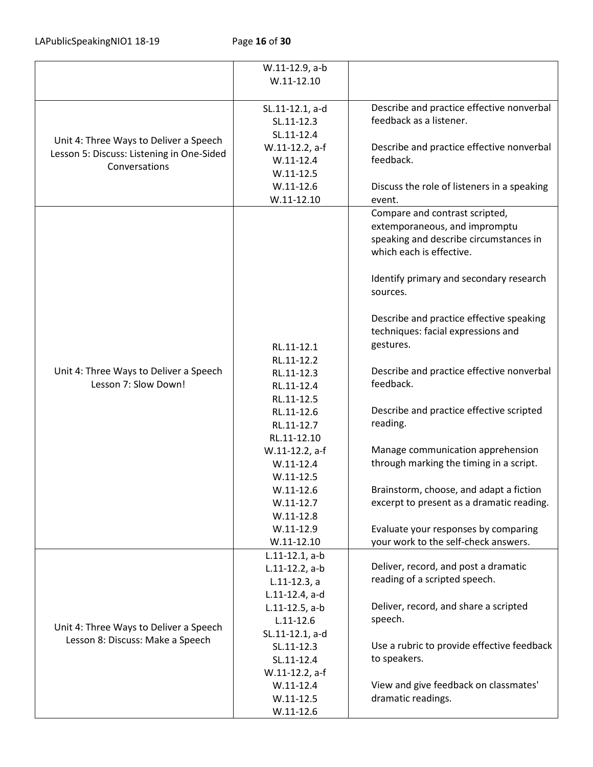LAPublicSpeakingNIO1 18-19 Page 16 of 30

|                                                                            | W.11-12.9, a-b    |                                             |
|----------------------------------------------------------------------------|-------------------|---------------------------------------------|
|                                                                            | $W.11 - 12.10$    |                                             |
|                                                                            |                   |                                             |
|                                                                            | SL.11-12.1, a-d   | Describe and practice effective nonverbal   |
|                                                                            | SL.11-12.3        | feedback as a listener.                     |
|                                                                            |                   |                                             |
| Unit 4: Three Ways to Deliver a Speech                                     | SL.11-12.4        |                                             |
| Lesson 5: Discuss: Listening in One-Sided                                  | W.11-12.2, a-f    | Describe and practice effective nonverbal   |
| Conversations                                                              | $W.11-12.4$       | feedback.                                   |
|                                                                            | $W.11 - 12.5$     |                                             |
|                                                                            | $W.11 - 12.6$     | Discuss the role of listeners in a speaking |
|                                                                            | $W.11-12.10$      | event.                                      |
|                                                                            |                   | Compare and contrast scripted,              |
|                                                                            |                   | extemporaneous, and impromptu               |
|                                                                            |                   | speaking and describe circumstances in      |
|                                                                            |                   | which each is effective.                    |
|                                                                            |                   |                                             |
|                                                                            |                   | Identify primary and secondary research     |
|                                                                            |                   | sources.                                    |
|                                                                            |                   |                                             |
|                                                                            |                   | Describe and practice effective speaking    |
|                                                                            |                   | techniques: facial expressions and          |
|                                                                            |                   | gestures.                                   |
|                                                                            | RL.11-12.1        |                                             |
| Unit 4: Three Ways to Deliver a Speech                                     | RL.11-12.2        | Describe and practice effective nonverbal   |
| Lesson 7: Slow Down!                                                       | RL.11-12.3        | feedback.                                   |
|                                                                            | RL.11-12.4        |                                             |
|                                                                            | RL.11-12.5        |                                             |
|                                                                            | RL.11-12.6        | Describe and practice effective scripted    |
|                                                                            | RL.11-12.7        | reading.                                    |
|                                                                            | RL.11-12.10       |                                             |
|                                                                            | W.11-12.2, a-f    | Manage communication apprehension           |
|                                                                            | $W.11 - 12.4$     | through marking the timing in a script.     |
|                                                                            | $W.11-12.5$       |                                             |
|                                                                            | $W.11-12.6$       | Brainstorm, choose, and adapt a fiction     |
|                                                                            | $W.11-12.7$       | excerpt to present as a dramatic reading.   |
|                                                                            | $W.11-12.8$       |                                             |
|                                                                            | $W.11-12.9$       | Evaluate your responses by comparing        |
|                                                                            | $W.11-12.10$      | your work to the self-check answers.        |
|                                                                            | $L.11-12.1, a-b$  |                                             |
|                                                                            | L.11-12.2, a-b    | Deliver, record, and post a dramatic        |
| Unit 4: Three Ways to Deliver a Speech<br>Lesson 8: Discuss: Make a Speech | $L.11-12.3, a$    | reading of a scripted speech.               |
|                                                                            | L.11-12.4, a-d    |                                             |
|                                                                            | $L.11-12.5$ , a-b | Deliver, record, and share a scripted       |
|                                                                            | $L.11 - 12.6$     | speech.                                     |
|                                                                            | SL.11-12.1, a-d   |                                             |
|                                                                            | SL.11-12.3        | Use a rubric to provide effective feedback  |
|                                                                            | SL.11-12.4        | to speakers.                                |
|                                                                            | W.11-12.2, a-f    |                                             |
|                                                                            | $W.11 - 12.4$     | View and give feedback on classmates'       |
|                                                                            | $W.11 - 12.5$     | dramatic readings.                          |
|                                                                            |                   |                                             |
|                                                                            | $W.11-12.6$       |                                             |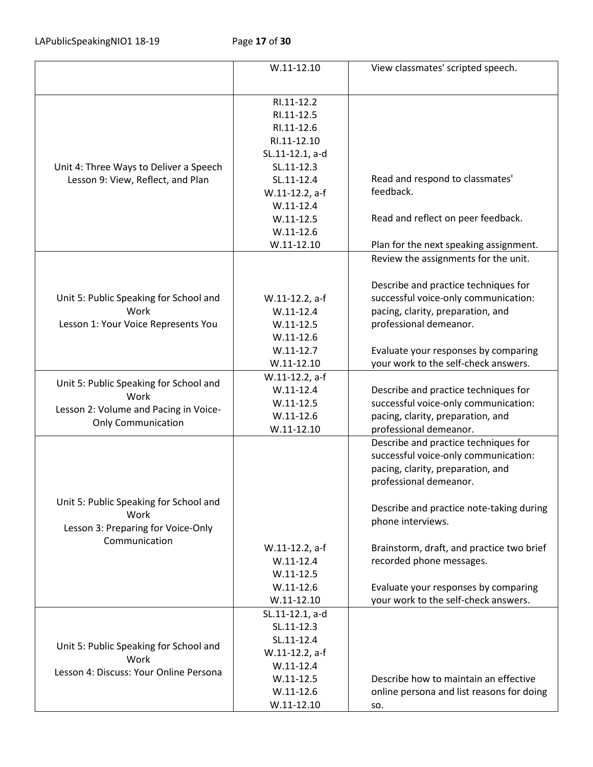|                                        | $W.11-12.10$    | View classmates' scripted speech.         |
|----------------------------------------|-----------------|-------------------------------------------|
|                                        |                 |                                           |
|                                        | RI.11-12.2      |                                           |
|                                        | RI.11-12.5      |                                           |
|                                        | RI.11-12.6      |                                           |
|                                        | RI.11-12.10     |                                           |
|                                        | SL.11-12.1, a-d |                                           |
| Unit 4: Three Ways to Deliver a Speech | SL.11-12.3      |                                           |
| Lesson 9: View, Reflect, and Plan      | SL.11-12.4      | Read and respond to classmates'           |
|                                        | W.11-12.2, a-f  | feedback.                                 |
|                                        | $W.11-12.4$     |                                           |
|                                        | $W.11-12.5$     | Read and reflect on peer feedback.        |
|                                        | $W.11-12.6$     |                                           |
|                                        | $W.11-12.10$    | Plan for the next speaking assignment.    |
|                                        |                 | Review the assignments for the unit.      |
|                                        |                 |                                           |
|                                        |                 | Describe and practice techniques for      |
| Unit 5: Public Speaking for School and | W.11-12.2, a-f  | successful voice-only communication:      |
| Work                                   | $W.11-12.4$     | pacing, clarity, preparation, and         |
| Lesson 1: Your Voice Represents You    | $W.11-12.5$     | professional demeanor.                    |
|                                        | $W.11-12.6$     |                                           |
|                                        | $W.11-12.7$     | Evaluate your responses by comparing      |
|                                        | $W.11-12.10$    | your work to the self-check answers.      |
|                                        | W.11-12.2, a-f  |                                           |
| Unit 5: Public Speaking for School and | $W.11-12.4$     | Describe and practice techniques for      |
| Work                                   | $W.11-12.5$     | successful voice-only communication:      |
| Lesson 2: Volume and Pacing in Voice-  | $W.11-12.6$     | pacing, clarity, preparation, and         |
| <b>Only Communication</b>              | $W.11-12.10$    | professional demeanor.                    |
|                                        |                 | Describe and practice techniques for      |
|                                        |                 | successful voice-only communication:      |
|                                        |                 | pacing, clarity, preparation, and         |
|                                        |                 | professional demeanor.                    |
|                                        |                 |                                           |
| Unit 5: Public Speaking for School and |                 | Describe and practice note-taking during  |
| Work                                   |                 |                                           |
| Lesson 3: Preparing for Voice-Only     |                 | phone interviews.                         |
| Communication                          |                 |                                           |
|                                        | W.11-12.2, a-f  | Brainstorm, draft, and practice two brief |
|                                        | $W.11-12.4$     | recorded phone messages.                  |
|                                        | $W.11 - 12.5$   |                                           |
|                                        | $W.11 - 12.6$   | Evaluate your responses by comparing      |
|                                        | $W.11-12.10$    | your work to the self-check answers.      |
|                                        | SL.11-12.1, a-d |                                           |
|                                        | SL.11-12.3      |                                           |
| Unit 5: Public Speaking for School and | SL.11-12.4      |                                           |
| Work                                   | W.11-12.2, a-f  |                                           |
| Lesson 4: Discuss: Your Online Persona | $W.11-12.4$     |                                           |
|                                        | $W.11 - 12.5$   | Describe how to maintain an effective     |
|                                        | $W.11 - 12.6$   | online persona and list reasons for doing |
|                                        | $W.11-12.10$    | SO.                                       |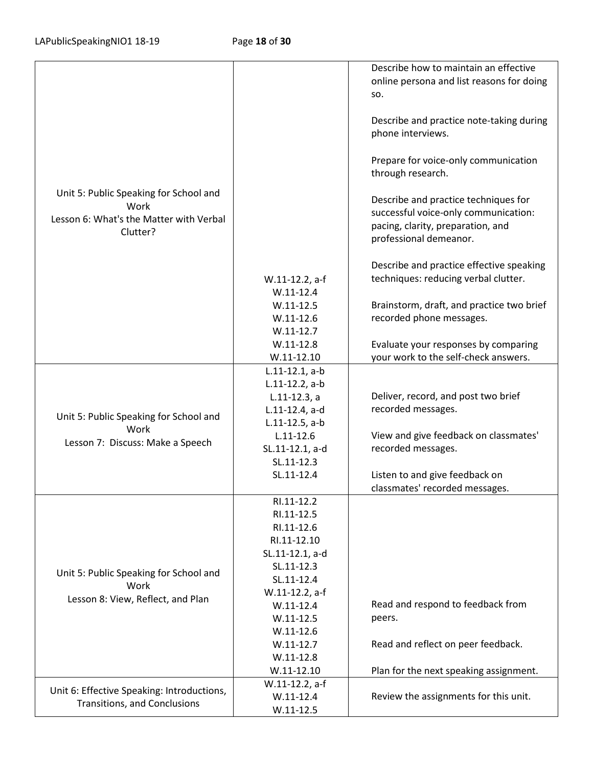|                                            |                   | Describe how to maintain an effective                         |
|--------------------------------------------|-------------------|---------------------------------------------------------------|
|                                            |                   | online persona and list reasons for doing                     |
|                                            |                   | SO.                                                           |
|                                            |                   |                                                               |
|                                            |                   | Describe and practice note-taking during<br>phone interviews. |
|                                            |                   | Prepare for voice-only communication<br>through research.     |
| Unit 5: Public Speaking for School and     |                   | Describe and practice techniques for                          |
| Work                                       |                   | successful voice-only communication:                          |
| Lesson 6: What's the Matter with Verbal    |                   | pacing, clarity, preparation, and                             |
| Clutter?                                   |                   | professional demeanor.                                        |
|                                            |                   |                                                               |
|                                            |                   | Describe and practice effective speaking                      |
|                                            | W.11-12.2, a-f    | techniques: reducing verbal clutter.                          |
|                                            | $W.11-12.4$       |                                                               |
|                                            | $W.11-12.5$       | Brainstorm, draft, and practice two brief                     |
|                                            | $W.11 - 12.6$     | recorded phone messages.                                      |
|                                            | $W.11-12.7$       |                                                               |
|                                            | $W.11-12.8$       | Evaluate your responses by comparing                          |
|                                            | $W.11-12.10$      | your work to the self-check answers.                          |
|                                            | $L.11-12.1, a-b$  |                                                               |
|                                            | $L.11-12.2$ , a-b |                                                               |
|                                            | $L.11-12.3, a$    | Deliver, record, and post two brief                           |
|                                            | L.11-12.4, a-d    | recorded messages.                                            |
| Unit 5: Public Speaking for School and     | $L.11-12.5$ , a-b |                                                               |
| Work                                       | $L.11 - 12.6$     | View and give feedback on classmates'                         |
| Lesson 7: Discuss: Make a Speech           | SL.11-12.1, a-d   | recorded messages.                                            |
|                                            | SL.11-12.3        |                                                               |
|                                            | SL.11-12.4        | Listen to and give feedback on                                |
|                                            |                   | classmates' recorded messages.                                |
|                                            | RI.11-12.2        |                                                               |
|                                            | RI.11-12.5        |                                                               |
|                                            | RI.11-12.6        |                                                               |
|                                            | RI.11-12.10       |                                                               |
|                                            | SL.11-12.1, a-d   |                                                               |
| Unit 5: Public Speaking for School and     | SL.11-12.3        |                                                               |
| Work                                       | SL.11-12.4        |                                                               |
| Lesson 8: View, Reflect, and Plan          | W.11-12.2, a-f    |                                                               |
|                                            | $W.11-12.4$       | Read and respond to feedback from                             |
|                                            | $W.11-12.5$       | peers.                                                        |
|                                            | $W.11-12.6$       |                                                               |
|                                            | $W.11-12.7$       | Read and reflect on peer feedback.                            |
|                                            | $W.11-12.8$       |                                                               |
|                                            | $W.11-12.10$      | Plan for the next speaking assignment.                        |
| Unit 6: Effective Speaking: Introductions, | W.11-12.2, a-f    |                                                               |
| Transitions, and Conclusions               | $W.11-12.4$       | Review the assignments for this unit.                         |
|                                            | $W.11-12.5$       |                                                               |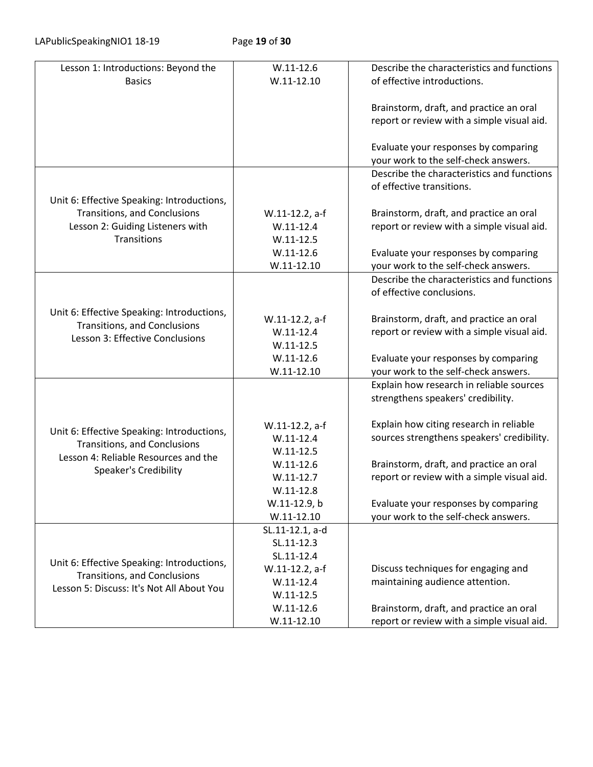LAPublicSpeakingNIO1 18-19 Page 19 of 30

| Lesson 1: Introductions: Beyond the                                               | $W.11 - 12.6$   | Describe the characteristics and functions                                         |
|-----------------------------------------------------------------------------------|-----------------|------------------------------------------------------------------------------------|
| <b>Basics</b>                                                                     | $W.11 - 12.10$  | of effective introductions.                                                        |
|                                                                                   |                 |                                                                                    |
|                                                                                   |                 | Brainstorm, draft, and practice an oral                                            |
|                                                                                   |                 | report or review with a simple visual aid.                                         |
|                                                                                   |                 |                                                                                    |
|                                                                                   |                 | Evaluate your responses by comparing                                               |
|                                                                                   |                 | your work to the self-check answers.                                               |
|                                                                                   |                 | Describe the characteristics and functions                                         |
|                                                                                   |                 | of effective transitions.                                                          |
| Unit 6: Effective Speaking: Introductions,                                        |                 |                                                                                    |
| <b>Transitions, and Conclusions</b>                                               | W.11-12.2, a-f  | Brainstorm, draft, and practice an oral                                            |
| Lesson 2: Guiding Listeners with                                                  | $W.11-12.4$     | report or review with a simple visual aid.                                         |
| Transitions                                                                       | $W.11-12.5$     |                                                                                    |
|                                                                                   | $W.11-12.6$     | Evaluate your responses by comparing                                               |
|                                                                                   | $W.11 - 12.10$  | your work to the self-check answers.<br>Describe the characteristics and functions |
|                                                                                   |                 | of effective conclusions.                                                          |
|                                                                                   |                 |                                                                                    |
| Unit 6: Effective Speaking: Introductions,                                        | W.11-12.2, a-f  | Brainstorm, draft, and practice an oral                                            |
| <b>Transitions, and Conclusions</b>                                               | $W.11 - 12.4$   | report or review with a simple visual aid.                                         |
| Lesson 3: Effective Conclusions                                                   | $W.11-12.5$     |                                                                                    |
|                                                                                   | $W.11-12.6$     | Evaluate your responses by comparing                                               |
|                                                                                   | $W.11 - 12.10$  | your work to the self-check answers.                                               |
|                                                                                   |                 | Explain how research in reliable sources                                           |
|                                                                                   |                 | strengthens speakers' credibility.                                                 |
|                                                                                   |                 |                                                                                    |
|                                                                                   | W.11-12.2, a-f  | Explain how citing research in reliable                                            |
| Unit 6: Effective Speaking: Introductions,                                        | $W.11-12.4$     | sources strengthens speakers' credibility.                                         |
| <b>Transitions, and Conclusions</b>                                               | $W.11 - 12.5$   |                                                                                    |
| Lesson 4: Reliable Resources and the                                              | $W.11-12.6$     | Brainstorm, draft, and practice an oral                                            |
| <b>Speaker's Credibility</b>                                                      | $W.11-12.7$     | report or review with a simple visual aid.                                         |
|                                                                                   | $W.11-12.8$     |                                                                                    |
|                                                                                   | W.11-12.9, b    | Evaluate your responses by comparing                                               |
|                                                                                   | $W.11 - 12.10$  | your work to the self-check answers.                                               |
|                                                                                   | SL.11-12.1, a-d |                                                                                    |
|                                                                                   | SL.11-12.3      |                                                                                    |
| Unit 6: Effective Speaking: Introductions,<br><b>Transitions, and Conclusions</b> | SL.11-12.4      |                                                                                    |
|                                                                                   | W.11-12.2, a-f  | Discuss techniques for engaging and                                                |
| Lesson 5: Discuss: It's Not All About You                                         | $W.11-12.4$     | maintaining audience attention.                                                    |
|                                                                                   | $W.11-12.5$     |                                                                                    |
|                                                                                   | $W.11 - 12.6$   | Brainstorm, draft, and practice an oral                                            |
|                                                                                   | $W.11 - 12.10$  | report or review with a simple visual aid.                                         |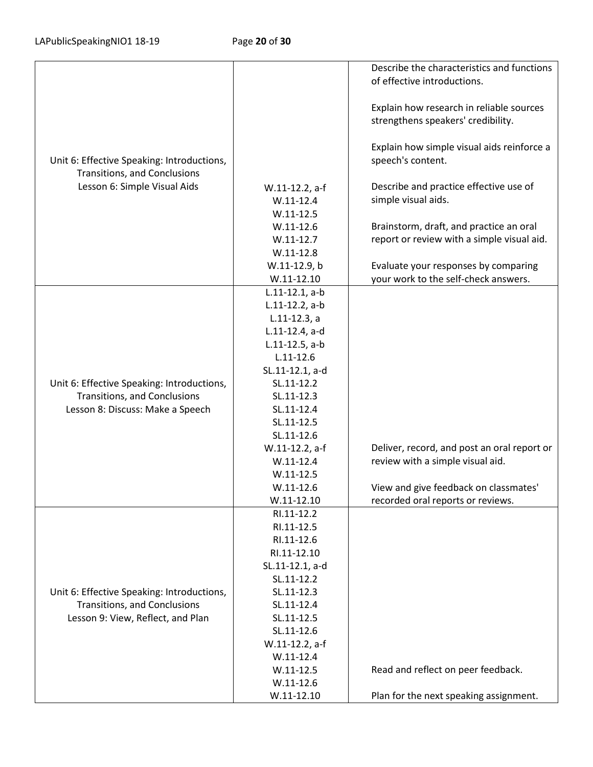|                                                                            |                              | Describe the characteristics and functions                                     |
|----------------------------------------------------------------------------|------------------------------|--------------------------------------------------------------------------------|
|                                                                            |                              | of effective introductions.                                                    |
|                                                                            |                              |                                                                                |
|                                                                            |                              | Explain how research in reliable sources<br>strengthens speakers' credibility. |
|                                                                            |                              |                                                                                |
|                                                                            |                              | Explain how simple visual aids reinforce a                                     |
| Unit 6: Effective Speaking: Introductions,                                 |                              | speech's content.                                                              |
| Transitions, and Conclusions                                               |                              |                                                                                |
| Lesson 6: Simple Visual Aids                                               | W.11-12.2, a-f               | Describe and practice effective use of                                         |
|                                                                            | $W.11-12.4$                  | simple visual aids.                                                            |
|                                                                            | $W.11-12.5$                  |                                                                                |
|                                                                            | $W.11 - 12.6$                | Brainstorm, draft, and practice an oral                                        |
|                                                                            | $W.11-12.7$                  | report or review with a simple visual aid.                                     |
|                                                                            | $W.11-12.8$                  |                                                                                |
|                                                                            | W.11-12.9, b<br>$W.11-12.10$ | Evaluate your responses by comparing<br>your work to the self-check answers.   |
|                                                                            | $L.11-12.1, a-b$             |                                                                                |
|                                                                            | $L.11-12.2$ , a-b            |                                                                                |
|                                                                            | $L.11-12.3, a$               |                                                                                |
|                                                                            | L.11-12.4, a-d               |                                                                                |
|                                                                            | $L.11-12.5$ , a-b            |                                                                                |
|                                                                            | $L.11 - 12.6$                |                                                                                |
|                                                                            | SL.11-12.1, a-d              |                                                                                |
| Unit 6: Effective Speaking: Introductions,                                 | SL.11-12.2                   |                                                                                |
| Transitions, and Conclusions                                               | SL.11-12.3                   |                                                                                |
| Lesson 8: Discuss: Make a Speech                                           | SL.11-12.4                   |                                                                                |
|                                                                            | SL.11-12.5                   |                                                                                |
|                                                                            | SL.11-12.6<br>W.11-12.2, a-f | Deliver, record, and post an oral report or                                    |
|                                                                            | $W.11-12.4$                  | review with a simple visual aid.                                               |
|                                                                            | $W.11-12.5$                  |                                                                                |
|                                                                            | $W.11-12.6$                  | View and give feedback on classmates'                                          |
|                                                                            | $W.11 - 12.10$               | recorded oral reports or reviews.                                              |
|                                                                            | RI.11-12.2                   |                                                                                |
|                                                                            | RI.11-12.5                   |                                                                                |
|                                                                            | RI.11-12.6                   |                                                                                |
|                                                                            | RI.11-12.10                  |                                                                                |
|                                                                            | SL.11-12.1, a-d              |                                                                                |
|                                                                            | SL.11-12.2<br>SL.11-12.3     |                                                                                |
| Unit 6: Effective Speaking: Introductions,<br>Transitions, and Conclusions | SL.11-12.4                   |                                                                                |
| Lesson 9: View, Reflect, and Plan                                          | SL.11-12.5                   |                                                                                |
|                                                                            | SL.11-12.6                   |                                                                                |
|                                                                            | W.11-12.2, a-f               |                                                                                |
|                                                                            | $W.11-12.4$                  |                                                                                |
|                                                                            | $W.11-12.5$                  | Read and reflect on peer feedback.                                             |
|                                                                            | $W.11-12.6$                  |                                                                                |
|                                                                            | $W.11-12.10$                 | Plan for the next speaking assignment.                                         |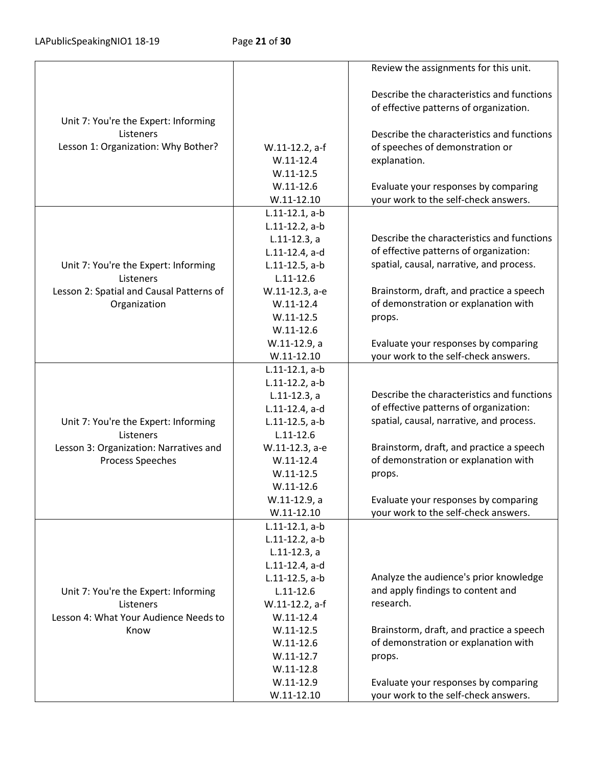|                                          |                   | Review the assignments for this unit.      |
|------------------------------------------|-------------------|--------------------------------------------|
|                                          |                   |                                            |
|                                          |                   | Describe the characteristics and functions |
|                                          |                   | of effective patterns of organization.     |
| Unit 7: You're the Expert: Informing     |                   |                                            |
| Listeners                                |                   | Describe the characteristics and functions |
| Lesson 1: Organization: Why Bother?      | W.11-12.2, a-f    | of speeches of demonstration or            |
|                                          | $W.11-12.4$       | explanation.                               |
|                                          | $W.11-12.5$       |                                            |
|                                          | $W.11-12.6$       | Evaluate your responses by comparing       |
|                                          | $W.11-12.10$      | your work to the self-check answers.       |
|                                          | $L.11-12.1, a-b$  |                                            |
|                                          | $L.11-12.2$ , a-b |                                            |
|                                          | $L.11-12.3, a$    | Describe the characteristics and functions |
|                                          | L.11-12.4, a-d    | of effective patterns of organization:     |
| Unit 7: You're the Expert: Informing     | $L.11-12.5$ , a-b | spatial, causal, narrative, and process.   |
| Listeners                                | $L.11 - 12.6$     |                                            |
| Lesson 2: Spatial and Causal Patterns of | W.11-12.3, a-e    | Brainstorm, draft, and practice a speech   |
| Organization                             | $W.11-12.4$       | of demonstration or explanation with       |
|                                          | $W.11-12.5$       | props.                                     |
|                                          | $W.11 - 12.6$     |                                            |
|                                          | W.11-12.9, a      | Evaluate your responses by comparing       |
|                                          | $W.11-12.10$      | your work to the self-check answers.       |
|                                          | $L.11-12.1, a-b$  |                                            |
|                                          | $L.11-12.2$ , a-b |                                            |
|                                          | $L.11-12.3, a$    | Describe the characteristics and functions |
|                                          | L.11-12.4, a-d    | of effective patterns of organization:     |
| Unit 7: You're the Expert: Informing     | $L.11-12.5$ , a-b | spatial, causal, narrative, and process.   |
| Listeners                                | $L.11 - 12.6$     |                                            |
| Lesson 3: Organization: Narratives and   | W.11-12.3, a-e    | Brainstorm, draft, and practice a speech   |
| Process Speeches                         | $W.11-12.4$       | of demonstration or explanation with       |
|                                          | $W.11 - 12.5$     | props.                                     |
|                                          | $W.11-12.6$       |                                            |
|                                          | W.11-12.9, a      | Evaluate your responses by comparing       |
|                                          | $W.11 - 12.10$    | your work to the self-check answers.       |
|                                          | $L.11-12.1, a-b$  |                                            |
|                                          | $L.11-12.2$ , a-b |                                            |
|                                          | $L.11-12.3$ , a   |                                            |
|                                          | L.11-12.4, a-d    |                                            |
|                                          | $L.11-12.5$ , a-b | Analyze the audience's prior knowledge     |
| Unit 7: You're the Expert: Informing     | $L.11 - 12.6$     | and apply findings to content and          |
| Listeners                                | W.11-12.2, a-f    | research.                                  |
| Lesson 4: What Your Audience Needs to    | $W.11-12.4$       |                                            |
| Know                                     | $W.11 - 12.5$     | Brainstorm, draft, and practice a speech   |
|                                          | $W.11-12.6$       | of demonstration or explanation with       |
|                                          | $W.11-12.7$       | props.                                     |
|                                          | $W.11-12.8$       |                                            |
|                                          | $W.11-12.9$       | Evaluate your responses by comparing       |
|                                          | $W.11-12.10$      | your work to the self-check answers.       |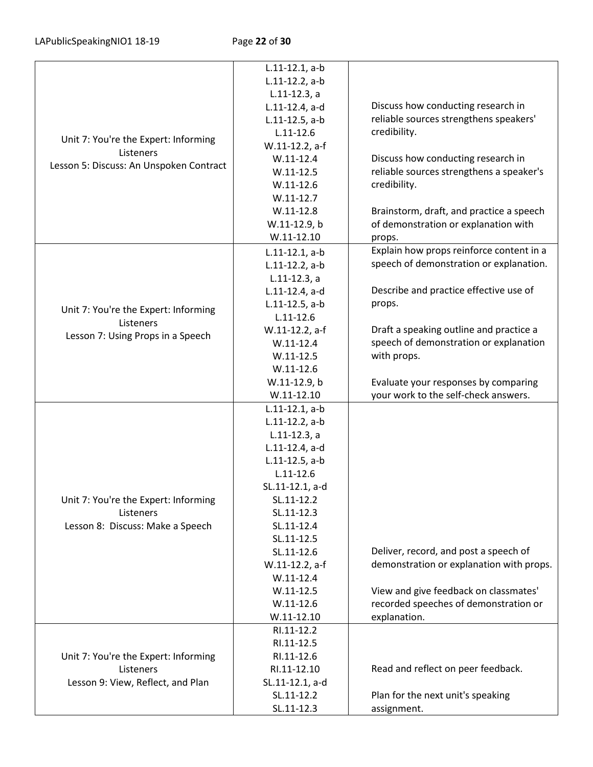|                                         | $L.11-12.1, a-b$  |                                          |
|-----------------------------------------|-------------------|------------------------------------------|
|                                         | $L.11-12.2$ , a-b |                                          |
|                                         | $L.11-12.3, a$    |                                          |
|                                         | L.11-12.4, a-d    | Discuss how conducting research in       |
|                                         | $L.11-12.5$ , a-b | reliable sources strengthens speakers'   |
| Unit 7: You're the Expert: Informing    | $L.11 - 12.6$     | credibility.                             |
| Listeners                               | W.11-12.2, a-f    |                                          |
| Lesson 5: Discuss: An Unspoken Contract | $W.11-12.4$       | Discuss how conducting research in       |
|                                         | $W.11-12.5$       | reliable sources strengthens a speaker's |
|                                         | $W.11-12.6$       | credibility.                             |
|                                         | $W.11-12.7$       |                                          |
|                                         | $W.11-12.8$       | Brainstorm, draft, and practice a speech |
|                                         | W.11-12.9, b      | of demonstration or explanation with     |
|                                         | $W.11 - 12.10$    | props.                                   |
|                                         | $L.11-12.1, a-b$  | Explain how props reinforce content in a |
|                                         | $L.11-12.2$ , a-b | speech of demonstration or explanation.  |
|                                         | $L.11-12.3, a$    |                                          |
|                                         | L.11-12.4, a-d    | Describe and practice effective use of   |
| Unit 7: You're the Expert: Informing    | $L.11-12.5$ , a-b | props.                                   |
| Listeners                               | $L.11 - 12.6$     |                                          |
| Lesson 7: Using Props in a Speech       | W.11-12.2, a-f    | Draft a speaking outline and practice a  |
|                                         | $W.11-12.4$       | speech of demonstration or explanation   |
|                                         | $W.11-12.5$       | with props.                              |
|                                         | $W.11 - 12.6$     |                                          |
|                                         | W.11-12.9, b      | Evaluate your responses by comparing     |
|                                         | $W.11 - 12.10$    | your work to the self-check answers.     |
|                                         | $L.11-12.1, a-b$  |                                          |
|                                         | $L.11-12.2$ , a-b |                                          |
|                                         | $L.11-12.3, a$    |                                          |
|                                         | L.11-12.4, a-d    |                                          |
|                                         | $L.11-12.5$ , a-b |                                          |
|                                         | $L.11 - 12.6$     |                                          |
|                                         | SL.11-12.1, a-d   |                                          |
| Unit 7: You're the Expert: Informing    | SL.11-12.2        |                                          |
| Listeners                               | SL.11-12.3        |                                          |
| Lesson 8: Discuss: Make a Speech        | SL.11-12.4        |                                          |
|                                         | SL.11-12.5        |                                          |
|                                         | SL.11-12.6        | Deliver, record, and post a speech of    |
|                                         | W.11-12.2, a-f    | demonstration or explanation with props. |
|                                         | $W.11-12.4$       |                                          |
|                                         | $W.11 - 12.5$     | View and give feedback on classmates'    |
|                                         | $W.11 - 12.6$     | recorded speeches of demonstration or    |
|                                         | $W.11-12.10$      | explanation.                             |
|                                         | RI.11-12.2        |                                          |
|                                         | RI.11-12.5        |                                          |
| Unit 7: You're the Expert: Informing    | RI.11-12.6        |                                          |
| Listeners                               | RI.11-12.10       | Read and reflect on peer feedback.       |
| Lesson 9: View, Reflect, and Plan       | SL.11-12.1, a-d   |                                          |
|                                         | SL.11-12.2        | Plan for the next unit's speaking        |
|                                         | SL.11-12.3        | assignment.                              |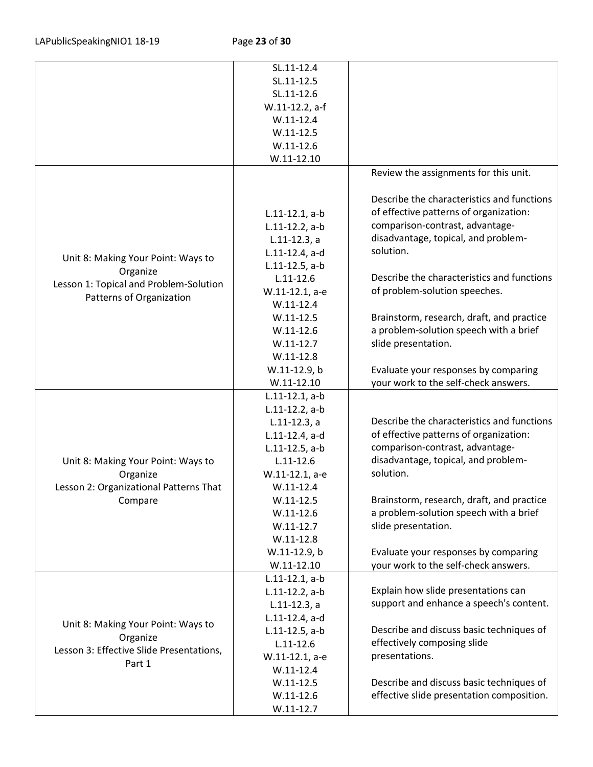|                                          | SL.11-12.4        |                                                  |
|------------------------------------------|-------------------|--------------------------------------------------|
|                                          | SL.11-12.5        |                                                  |
|                                          | SL.11-12.6        |                                                  |
|                                          |                   |                                                  |
|                                          | W.11-12.2, a-f    |                                                  |
|                                          | $W.11 - 12.4$     |                                                  |
|                                          | $W.11-12.5$       |                                                  |
|                                          | $W.11-12.6$       |                                                  |
|                                          | $W.11 - 12.10$    |                                                  |
|                                          |                   | Review the assignments for this unit.            |
|                                          |                   |                                                  |
|                                          |                   | Describe the characteristics and functions       |
|                                          | $L.11-12.1, a-b$  | of effective patterns of organization:           |
|                                          | $L.11-12.2$ , a-b | comparison-contrast, advantage-                  |
|                                          | $L.11-12.3, a$    | disadvantage, topical, and problem-              |
| Unit 8: Making Your Point: Ways to       | L.11-12.4, a-d    | solution.                                        |
|                                          | $L.11-12.5$ , a-b |                                                  |
| Organize                                 | $L.11 - 12.6$     | Describe the characteristics and functions       |
| Lesson 1: Topical and Problem-Solution   | W.11-12.1, a-e    | of problem-solution speeches.                    |
| Patterns of Organization                 | $W.11-12.4$       |                                                  |
|                                          | $W.11-12.5$       | Brainstorm, research, draft, and practice        |
|                                          | $W.11-12.6$       | a problem-solution speech with a brief           |
|                                          | $W.11-12.7$       | slide presentation.                              |
|                                          | $W.11-12.8$       |                                                  |
|                                          | W.11-12.9, b      | Evaluate your responses by comparing             |
|                                          | $W.11-12.10$      | your work to the self-check answers.             |
|                                          |                   |                                                  |
|                                          | $L.11-12.1, a-b$  |                                                  |
|                                          | $L.11-12.2$ , a-b | Describe the characteristics and functions       |
|                                          | $L.11-12.3, a$    | of effective patterns of organization:           |
|                                          | L.11-12.4, a-d    | comparison-contrast, advantage-                  |
|                                          | $L.11-12.5$ , a-b |                                                  |
| Unit 8: Making Your Point: Ways to       | $L.11 - 12.6$     | disadvantage, topical, and problem-<br>solution. |
| Organize                                 | W.11-12.1, a-e    |                                                  |
| Lesson 2: Organizational Patterns That   | $W.11-12.4$       |                                                  |
| Compare                                  | $W.11-12.5$       | Brainstorm, research, draft, and practice        |
|                                          | $W.11 - 12.6$     | a problem-solution speech with a brief           |
|                                          | $W.11-12.7$       | slide presentation.                              |
|                                          | $W.11-12.8$       |                                                  |
|                                          | W.11-12.9, b      | Evaluate your responses by comparing             |
|                                          | $W.11-12.10$      | your work to the self-check answers.             |
|                                          | $L.11-12.1, a-b$  |                                                  |
|                                          | $L.11-12.2$ , a-b | Explain how slide presentations can              |
|                                          | $L.11-12.3, a$    | support and enhance a speech's content.          |
|                                          | L.11-12.4, a-d    |                                                  |
| Unit 8: Making Your Point: Ways to       | $L.11-12.5$ , a-b | Describe and discuss basic techniques of         |
| Organize                                 | $L.11 - 12.6$     | effectively composing slide                      |
| Lesson 3: Effective Slide Presentations, | W.11-12.1, a-e    | presentations.                                   |
| Part 1                                   | $W.11 - 12.4$     |                                                  |
|                                          | $W.11-12.5$       | Describe and discuss basic techniques of         |
|                                          | $W.11-12.6$       | effective slide presentation composition.        |
|                                          | $W.11-12.7$       |                                                  |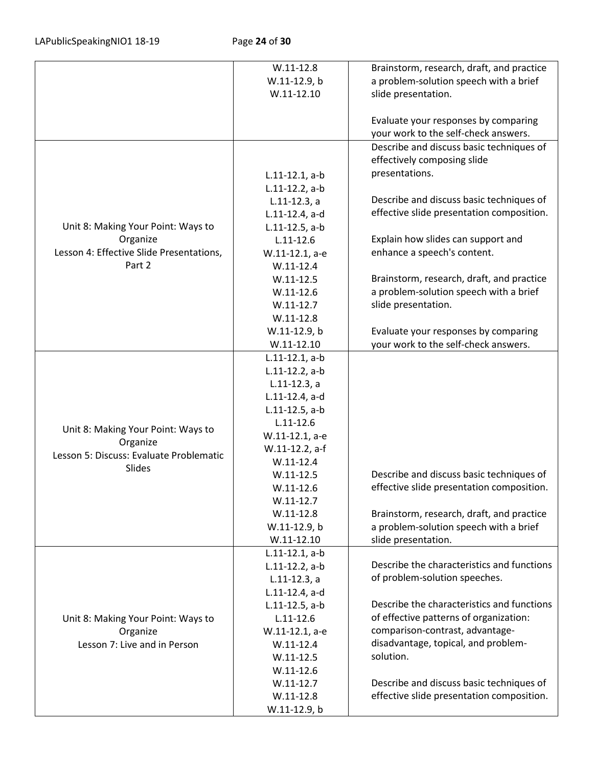|                                          | $W.11-12.8$       | Brainstorm, research, draft, and practice                         |
|------------------------------------------|-------------------|-------------------------------------------------------------------|
|                                          | W.11-12.9, b      | a problem-solution speech with a brief                            |
|                                          | $W.11 - 12.10$    | slide presentation.                                               |
|                                          |                   |                                                                   |
|                                          |                   | Evaluate your responses by comparing                              |
|                                          |                   | your work to the self-check answers.                              |
|                                          |                   | Describe and discuss basic techniques of                          |
|                                          |                   | effectively composing slide                                       |
|                                          | $L.11-12.1, a-b$  | presentations.                                                    |
|                                          | $L.11-12.2$ , a-b |                                                                   |
|                                          | $L.11-12.3, a$    | Describe and discuss basic techniques of                          |
|                                          | L.11-12.4, a-d    | effective slide presentation composition.                         |
| Unit 8: Making Your Point: Ways to       |                   |                                                                   |
| Organize                                 | $L.11-12.5$ , a-b |                                                                   |
|                                          | $L.11 - 12.6$     | Explain how slides can support and<br>enhance a speech's content. |
| Lesson 4: Effective Slide Presentations, | W.11-12.1, a-e    |                                                                   |
| Part 2                                   | $W.11-12.4$       |                                                                   |
|                                          | $W.11 - 12.5$     | Brainstorm, research, draft, and practice                         |
|                                          | $W.11-12.6$       | a problem-solution speech with a brief                            |
|                                          | $W.11-12.7$       | slide presentation.                                               |
|                                          | $W.11-12.8$       |                                                                   |
|                                          | W.11-12.9, b      | Evaluate your responses by comparing                              |
|                                          | $W.11-12.10$      | your work to the self-check answers.                              |
|                                          | $L.11-12.1, a-b$  |                                                                   |
|                                          | $L.11-12.2$ , a-b |                                                                   |
|                                          | $L.11-12.3, a$    |                                                                   |
|                                          | L.11-12.4, a-d    |                                                                   |
|                                          | $L.11-12.5$ , a-b |                                                                   |
| Unit 8: Making Your Point: Ways to       | $L.11 - 12.6$     |                                                                   |
| Organize                                 | W.11-12.1, a-e    |                                                                   |
| Lesson 5: Discuss: Evaluate Problematic  | W.11-12.2, a-f    |                                                                   |
| <b>Slides</b>                            | $W.11-12.4$       |                                                                   |
|                                          | $W.11-12.5$       | Describe and discuss basic techniques of                          |
|                                          | $W.11-12.6$       | effective slide presentation composition.                         |
|                                          | $W.11-12.7$       |                                                                   |
|                                          | $W.11-12.8$       | Brainstorm, research, draft, and practice                         |
|                                          | W.11-12.9, b      | a problem-solution speech with a brief                            |
|                                          | $W.11-12.10$      | slide presentation.                                               |
|                                          | $L.11-12.1, a-b$  |                                                                   |
|                                          | $L.11-12.2$ , a-b | Describe the characteristics and functions                        |
|                                          | $L.11-12.3, a$    | of problem-solution speeches.                                     |
|                                          | L.11-12.4, a-d    |                                                                   |
|                                          | $L.11-12.5$ , a-b | Describe the characteristics and functions                        |
| Unit 8: Making Your Point: Ways to       | $L.11 - 12.6$     | of effective patterns of organization:                            |
| Organize                                 | W.11-12.1, a-e    | comparison-contrast, advantage-                                   |
| Lesson 7: Live and in Person             | $W.11-12.4$       | disadvantage, topical, and problem-                               |
|                                          | $W.11-12.5$       | solution.                                                         |
|                                          | $W.11 - 12.6$     |                                                                   |
|                                          | $W.11-12.7$       | Describe and discuss basic techniques of                          |
|                                          | $W.11-12.8$       | effective slide presentation composition.                         |
|                                          | W.11-12.9, b      |                                                                   |
|                                          |                   |                                                                   |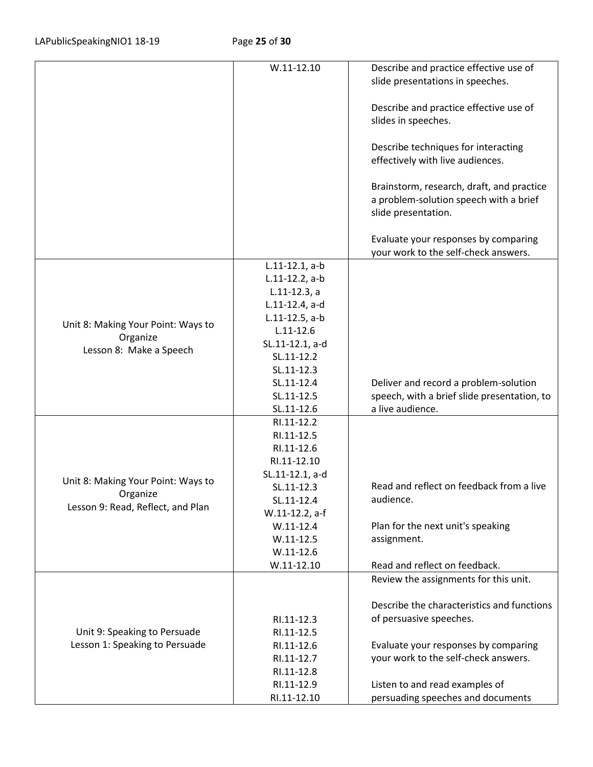|                                    | $W.11 - 12.10$                   | Describe and practice effective use of<br>slide presentations in speeches.                                 |
|------------------------------------|----------------------------------|------------------------------------------------------------------------------------------------------------|
|                                    |                                  |                                                                                                            |
|                                    |                                  | Describe and practice effective use of<br>slides in speeches.                                              |
|                                    |                                  |                                                                                                            |
|                                    |                                  | Describe techniques for interacting<br>effectively with live audiences.                                    |
|                                    |                                  | Brainstorm, research, draft, and practice<br>a problem-solution speech with a brief<br>slide presentation. |
|                                    |                                  | Evaluate your responses by comparing<br>your work to the self-check answers.                               |
|                                    | $L.11-12.1, a-b$                 |                                                                                                            |
|                                    | $L.11-12.2$ , a-b                |                                                                                                            |
|                                    | $L.11-12.3, a$<br>L.11-12.4, a-d |                                                                                                            |
|                                    | $L.11-12.5$ , a-b                |                                                                                                            |
| Unit 8: Making Your Point: Ways to | $L.11 - 12.6$                    |                                                                                                            |
| Organize                           | SL.11-12.1, a-d                  |                                                                                                            |
| Lesson 8: Make a Speech            | SL.11-12.2                       |                                                                                                            |
|                                    | SL.11-12.3                       |                                                                                                            |
|                                    | SL.11-12.4                       | Deliver and record a problem-solution                                                                      |
|                                    | SL.11-12.5                       | speech, with a brief slide presentation, to                                                                |
|                                    | SL.11-12.6                       | a live audience.                                                                                           |
|                                    | RI.11-12.2                       |                                                                                                            |
|                                    | RI.11-12.5<br>RI.11-12.6         |                                                                                                            |
|                                    | RI.11-12.10                      |                                                                                                            |
|                                    | SL.11-12.1, a-d                  |                                                                                                            |
| Unit 8: Making Your Point: Ways to | SL.11-12.3                       | Read and reflect on feedback from a live                                                                   |
| Organize                           | SL.11-12.4                       | audience.                                                                                                  |
| Lesson 9: Read, Reflect, and Plan  | W.11-12.2, a-f                   |                                                                                                            |
|                                    | $W.11-12.4$                      | Plan for the next unit's speaking                                                                          |
|                                    | $W.11 - 12.5$                    | assignment.                                                                                                |
|                                    | $W.11-12.6$                      |                                                                                                            |
|                                    | $W.11-12.10$                     | Read and reflect on feedback.                                                                              |
|                                    |                                  | Review the assignments for this unit.                                                                      |
|                                    |                                  | Describe the characteristics and functions                                                                 |
|                                    | RI.11-12.3                       | of persuasive speeches.                                                                                    |
| Unit 9: Speaking to Persuade       | RI.11-12.5                       |                                                                                                            |
| Lesson 1: Speaking to Persuade     | RI.11-12.6                       | Evaluate your responses by comparing                                                                       |
|                                    | RI.11-12.7                       | your work to the self-check answers.                                                                       |
|                                    | RI.11-12.8                       |                                                                                                            |
|                                    | RI.11-12.9<br>RI.11-12.10        | Listen to and read examples of<br>persuading speeches and documents                                        |
|                                    |                                  |                                                                                                            |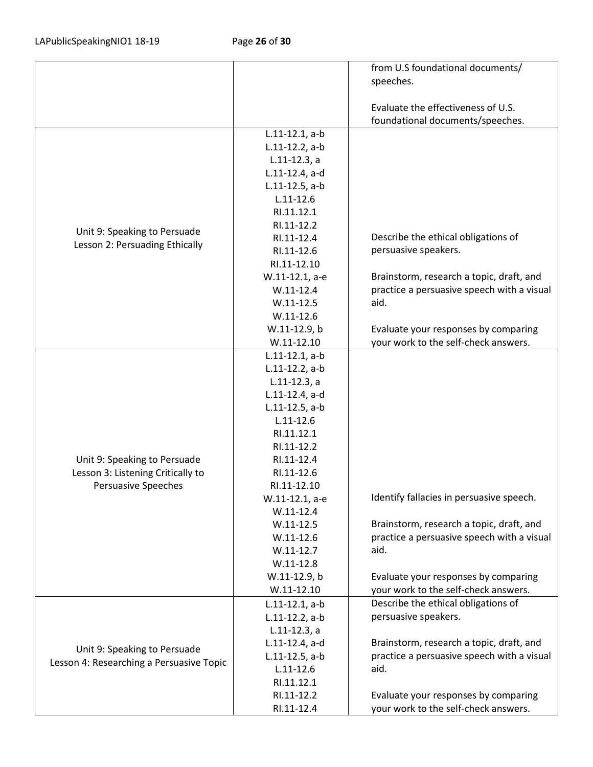|                                          |                                    | from U.S foundational documents/           |
|------------------------------------------|------------------------------------|--------------------------------------------|
|                                          |                                    | speeches.                                  |
|                                          |                                    |                                            |
|                                          |                                    | Evaluate the effectiveness of U.S.         |
|                                          |                                    | foundational documents/speeches.           |
|                                          | $L.11-12.1, a-b$                   |                                            |
|                                          | $L.11-12.2$ , a-b                  |                                            |
|                                          | $L.11-12.3$ , a                    |                                            |
|                                          | L.11-12.4, a-d                     |                                            |
|                                          | $L.11-12.5$ , a-b                  |                                            |
|                                          | $L.11 - 12.6$                      |                                            |
|                                          | RI.11.12.1                         |                                            |
|                                          | RI.11-12.2                         |                                            |
| Unit 9: Speaking to Persuade             | RI.11-12.4                         | Describe the ethical obligations of        |
| Lesson 2: Persuading Ethically           | RI.11-12.6                         | persuasive speakers.                       |
|                                          | RI.11-12.10                        |                                            |
|                                          | W.11-12.1, a-e                     | Brainstorm, research a topic, draft, and   |
|                                          | $W.11-12.4$                        | practice a persuasive speech with a visual |
|                                          | $W.11-12.5$                        | aid.                                       |
|                                          | $W.11 - 12.6$                      |                                            |
|                                          | W.11-12.9, b                       | Evaluate your responses by comparing       |
|                                          | $W.11-12.10$                       | your work to the self-check answers.       |
|                                          | $L.11-12.1, a-b$                   |                                            |
|                                          | $L.11-12.2$ , a-b                  |                                            |
|                                          | $L.11-12.3, a$                     |                                            |
|                                          | L.11-12.4, a-d                     |                                            |
|                                          | L.11-12.5, a-b                     |                                            |
|                                          | $L.11 - 12.6$                      |                                            |
|                                          | RI.11.12.1                         |                                            |
|                                          | RI.11-12.2                         |                                            |
| Unit 9: Speaking to Persuade             | RI.11-12.4                         |                                            |
| Lesson 3: Listening Critically to        | RI.11-12.6                         |                                            |
| <b>Persuasive Speeches</b>               | RI.11-12.10                        |                                            |
|                                          | W.11-12.1, a-e                     | Identify fallacies in persuasive speech.   |
|                                          | $W.11-12.4$                        |                                            |
|                                          | $W.11-12.5$                        | Brainstorm, research a topic, draft, and   |
|                                          | $W.11-12.6$                        | practice a persuasive speech with a visual |
|                                          | $W.11-12.7$                        | aid.                                       |
|                                          | $W.11-12.8$                        |                                            |
|                                          | W.11-12.9, b                       | Evaluate your responses by comparing       |
|                                          | $W.11-12.10$                       | your work to the self-check answers.       |
|                                          | $L.11-12.1, a-b$                   | Describe the ethical obligations of        |
|                                          | $L.11-12.2$ , a-b                  | persuasive speakers.                       |
|                                          | $L.11-12.3, a$                     |                                            |
|                                          | L.11-12.4, a-d                     | Brainstorm, research a topic, draft, and   |
| Unit 9: Speaking to Persuade             |                                    | practice a persuasive speech with a visual |
| Lesson 4: Researching a Persuasive Topic | $L.11-12.5$ , a-b<br>$L.11 - 12.6$ | aid.                                       |
|                                          |                                    |                                            |
|                                          | RI.11.12.1<br>RI.11-12.2           |                                            |
|                                          |                                    | Evaluate your responses by comparing       |
|                                          | RI.11-12.4                         | your work to the self-check answers.       |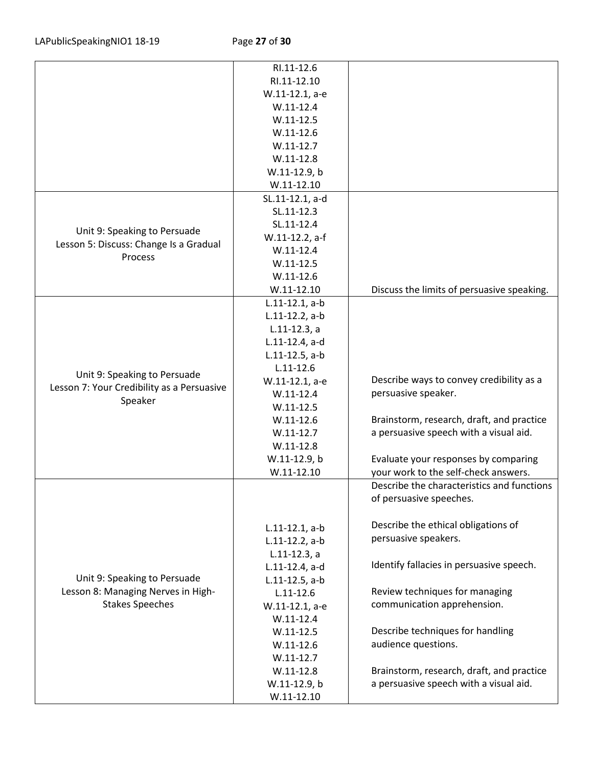|                                            | RI.11-12.6        |                                            |
|--------------------------------------------|-------------------|--------------------------------------------|
|                                            | RI.11-12.10       |                                            |
|                                            | W.11-12.1, a-e    |                                            |
|                                            | $W.11-12.4$       |                                            |
|                                            | $W.11-12.5$       |                                            |
|                                            | $W.11-12.6$       |                                            |
|                                            | $W.11-12.7$       |                                            |
|                                            | $W.11-12.8$       |                                            |
|                                            | W.11-12.9, b      |                                            |
|                                            | $W.11-12.10$      |                                            |
|                                            | SL.11-12.1, a-d   |                                            |
|                                            | SL.11-12.3        |                                            |
|                                            | SL.11-12.4        |                                            |
| Unit 9: Speaking to Persuade               | W.11-12.2, a-f    |                                            |
| Lesson 5: Discuss: Change Is a Gradual     | $W.11-12.4$       |                                            |
| Process                                    | $W.11-12.5$       |                                            |
|                                            | $W.11-12.6$       |                                            |
|                                            | $W.11-12.10$      | Discuss the limits of persuasive speaking. |
|                                            | $L.11-12.1, a-b$  |                                            |
|                                            | $L.11-12.2$ , a-b |                                            |
|                                            | $L.11-12.3, a$    |                                            |
|                                            | L.11-12.4, a-d    |                                            |
|                                            | $L.11-12.5$ , a-b |                                            |
|                                            | $L.11 - 12.6$     |                                            |
| Unit 9: Speaking to Persuade               | W.11-12.1, a-e    | Describe ways to convey credibility as a   |
| Lesson 7: Your Credibility as a Persuasive | $W.11-12.4$       | persuasive speaker.                        |
| Speaker                                    | $W.11-12.5$       |                                            |
|                                            | $W.11-12.6$       | Brainstorm, research, draft, and practice  |
|                                            | $W.11-12.7$       | a persuasive speech with a visual aid.     |
|                                            | $W.11-12.8$       |                                            |
|                                            | W.11-12.9, b      | Evaluate your responses by comparing       |
|                                            | $W.11 - 12.10$    | your work to the self-check answers.       |
|                                            |                   | Describe the characteristics and functions |
|                                            |                   | of persuasive speeches.                    |
|                                            |                   |                                            |
|                                            | $L.11-12.1, a-b$  | Describe the ethical obligations of        |
|                                            | $L.11-12.2$ , a-b | persuasive speakers.                       |
|                                            | $L.11-12.3$ , a   |                                            |
|                                            | L.11-12.4, a-d    | Identify fallacies in persuasive speech.   |
| Unit 9: Speaking to Persuade               | $L.11-12.5$ , a-b |                                            |
| Lesson 8: Managing Nerves in High-         | $L.11 - 12.6$     | Review techniques for managing             |
| <b>Stakes Speeches</b>                     | W.11-12.1, a-e    | communication apprehension.                |
|                                            | $W.11-12.4$       |                                            |
|                                            | $W.11 - 12.5$     | Describe techniques for handling           |
|                                            | $W.11-12.6$       | audience questions.                        |
|                                            | $W.11-12.7$       |                                            |
|                                            | $W.11-12.8$       | Brainstorm, research, draft, and practice  |
|                                            | W.11-12.9, b      | a persuasive speech with a visual aid.     |
|                                            | $W.11-12.10$      |                                            |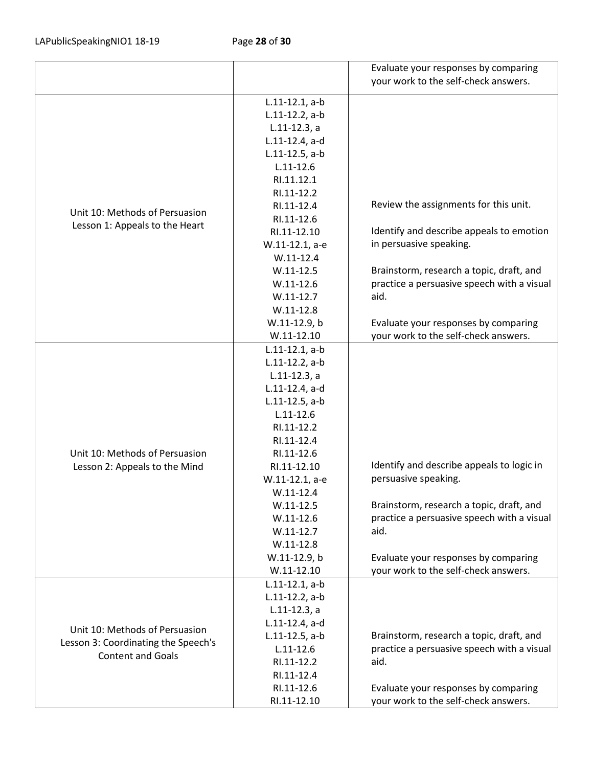|                                     |                   | Evaluate your responses by comparing<br>your work to the self-check answers. |
|-------------------------------------|-------------------|------------------------------------------------------------------------------|
|                                     | $L.11-12.1, a-b$  |                                                                              |
|                                     | $L.11-12.2$ , a-b |                                                                              |
|                                     | $L.11-12.3$ , a   |                                                                              |
|                                     | L.11-12.4, a-d    |                                                                              |
|                                     | $L.11-12.5$ , a-b |                                                                              |
|                                     | $L.11 - 12.6$     |                                                                              |
|                                     | RI.11.12.1        |                                                                              |
|                                     | RI.11-12.2        |                                                                              |
|                                     | RI.11-12.4        | Review the assignments for this unit.                                        |
| Unit 10: Methods of Persuasion      | RI.11-12.6        |                                                                              |
| Lesson 1: Appeals to the Heart      | RI.11-12.10       | Identify and describe appeals to emotion                                     |
|                                     | W.11-12.1, a-e    | in persuasive speaking.                                                      |
|                                     | $W.11-12.4$       |                                                                              |
|                                     | $W.11-12.5$       | Brainstorm, research a topic, draft, and                                     |
|                                     | $W.11-12.6$       | practice a persuasive speech with a visual                                   |
|                                     | $W.11-12.7$       | aid.                                                                         |
|                                     | $W.11-12.8$       |                                                                              |
|                                     | W.11-12.9, b      | Evaluate your responses by comparing                                         |
|                                     | $W.11-12.10$      | your work to the self-check answers.                                         |
|                                     | $L.11-12.1, a-b$  |                                                                              |
|                                     | $L.11-12.2$ , a-b |                                                                              |
|                                     | $L.11-12.3, a$    |                                                                              |
|                                     | L.11-12.4, a-d    |                                                                              |
|                                     | $L.11-12.5$ , a-b |                                                                              |
|                                     | $L.11 - 12.6$     |                                                                              |
|                                     | RI.11-12.2        |                                                                              |
|                                     | RI.11-12.4        |                                                                              |
| Unit 10: Methods of Persuasion      | RI.11-12.6        |                                                                              |
| Lesson 2: Appeals to the Mind       | RI.11-12.10       | Identify and describe appeals to logic in                                    |
|                                     | W.11-12.1, a-e    | persuasive speaking.                                                         |
|                                     | $W.11-12.4$       |                                                                              |
|                                     | $W.11-12.5$       | Brainstorm, research a topic, draft, and                                     |
|                                     | $W.11-12.6$       | practice a persuasive speech with a visual                                   |
|                                     | $W.11-12.7$       | aid.                                                                         |
|                                     | $W.11-12.8$       |                                                                              |
|                                     | W.11-12.9, b      | Evaluate your responses by comparing                                         |
|                                     | $W.11-12.10$      | your work to the self-check answers.                                         |
|                                     | $L.11-12.1, a-b$  |                                                                              |
|                                     | $L.11-12.2$ , a-b |                                                                              |
|                                     | $L.11-12.3, a$    |                                                                              |
| Unit 10: Methods of Persuasion      | L.11-12.4, a-d    |                                                                              |
| Lesson 3: Coordinating the Speech's | $L.11-12.5$ , a-b | Brainstorm, research a topic, draft, and                                     |
| <b>Content and Goals</b>            | $L.11 - 12.6$     | practice a persuasive speech with a visual                                   |
|                                     | RI.11-12.2        | aid.                                                                         |
|                                     | RI.11-12.4        |                                                                              |
|                                     | RI.11-12.6        | Evaluate your responses by comparing                                         |
|                                     | RI.11-12.10       | your work to the self-check answers.                                         |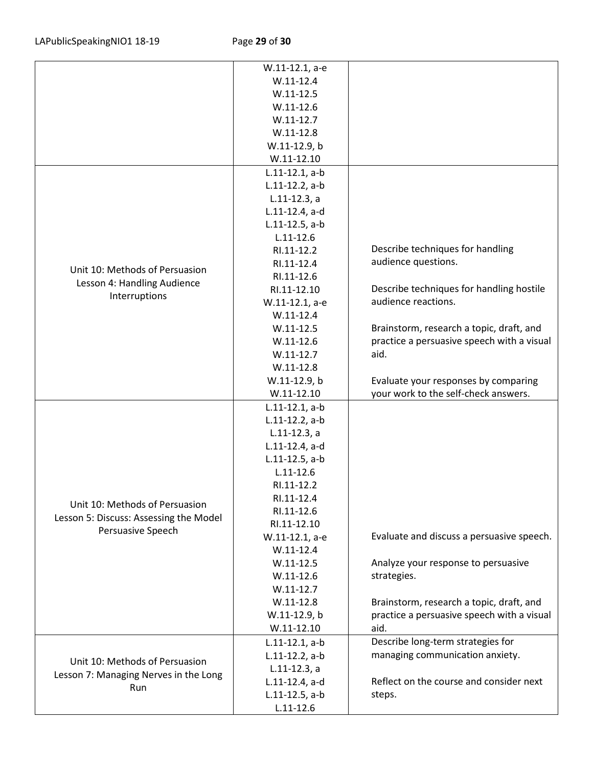|                                                                                | W.11-12.1, a-e    |                                            |
|--------------------------------------------------------------------------------|-------------------|--------------------------------------------|
|                                                                                | $W.11-12.4$       |                                            |
|                                                                                | $W.11-12.5$       |                                            |
|                                                                                | $W.11-12.6$       |                                            |
|                                                                                | $W.11-12.7$       |                                            |
|                                                                                | $W.11-12.8$       |                                            |
|                                                                                | W.11-12.9, b      |                                            |
|                                                                                | $W.11 - 12.10$    |                                            |
|                                                                                | $L.11-12.1, a-b$  |                                            |
|                                                                                | $L.11-12.2$ , a-b |                                            |
|                                                                                | $L.11-12.3$ , a   |                                            |
|                                                                                | L.11-12.4, a-d    |                                            |
|                                                                                | $L.11-12.5$ , a-b |                                            |
|                                                                                | $L.11 - 12.6$     |                                            |
|                                                                                | RI.11-12.2        | Describe techniques for handling           |
|                                                                                | RI.11-12.4        | audience questions.                        |
| Unit 10: Methods of Persuasion                                                 | RI.11-12.6        |                                            |
| Lesson 4: Handling Audience                                                    | RI.11-12.10       | Describe techniques for handling hostile   |
| Interruptions                                                                  | W.11-12.1, a-e    | audience reactions.                        |
|                                                                                | $W.11-12.4$       |                                            |
|                                                                                | $W.11-12.5$       | Brainstorm, research a topic, draft, and   |
|                                                                                | $W.11-12.6$       | practice a persuasive speech with a visual |
|                                                                                | $W.11-12.7$       | aid.                                       |
|                                                                                |                   |                                            |
|                                                                                | $W.11-12.8$       |                                            |
|                                                                                | W.11-12.9, b      | Evaluate your responses by comparing       |
|                                                                                | $W.11 - 12.10$    | your work to the self-check answers.       |
|                                                                                | $L.11-12.1, a-b$  |                                            |
|                                                                                | $L.11-12.2$ , a-b |                                            |
|                                                                                | $L.11-12.3, a$    |                                            |
|                                                                                | L.11-12.4, a-d    |                                            |
|                                                                                | $L.11-12.5$ , a-b |                                            |
|                                                                                | $L.11 - 12.6$     |                                            |
|                                                                                | RI.11-12.2        |                                            |
| Unit 10: Methods of Persuasion                                                 | RI.11-12.4        |                                            |
| Lesson 5: Discuss: Assessing the Model                                         | RI.11-12.6        |                                            |
| Persuasive Speech                                                              | RI.11-12.10       |                                            |
|                                                                                | W.11-12.1, a-e    | Evaluate and discuss a persuasive speech.  |
|                                                                                | $W.11-12.4$       |                                            |
|                                                                                | $W.11-12.5$       | Analyze your response to persuasive        |
|                                                                                | $W.11-12.6$       | strategies.                                |
|                                                                                | $W.11-12.7$       |                                            |
|                                                                                | $W.11-12.8$       | Brainstorm, research a topic, draft, and   |
|                                                                                | W.11-12.9, b      | practice a persuasive speech with a visual |
|                                                                                | $W.11 - 12.10$    | aid.                                       |
|                                                                                | $L.11-12.1, a-b$  | Describe long-term strategies for          |
| Unit 10: Methods of Persuasion<br>Lesson 7: Managing Nerves in the Long<br>Run | $L.11-12.2, a-b$  | managing communication anxiety.            |
|                                                                                | $L.11-12.3, a$    |                                            |
|                                                                                | L.11-12.4, a-d    | Reflect on the course and consider next    |
|                                                                                | $L.11-12.5$ , a-b | steps.                                     |
|                                                                                | $L.11 - 12.6$     |                                            |